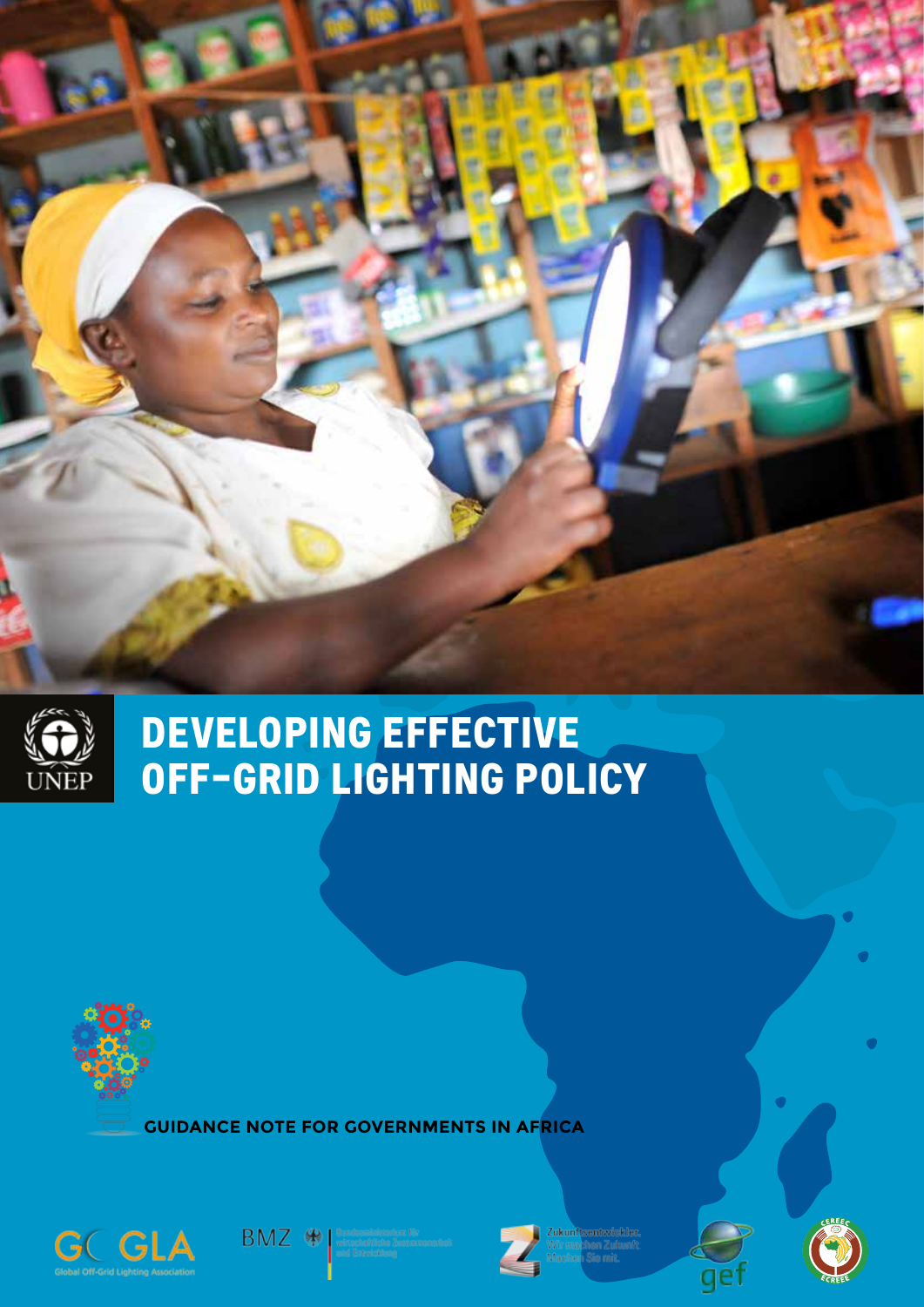



# DEVELOPING EFFECTIVE Off-Grid Lighting Policy



**Guidance note for governments in Africa**





 $\text{BMZ } \bigcircledast \left[ \begin{smallmatrix} \text{Intermitary} \\ \text{intermediate $n$} \\ \text{est finite $n$} \end{smallmatrix} \right]$ 





gef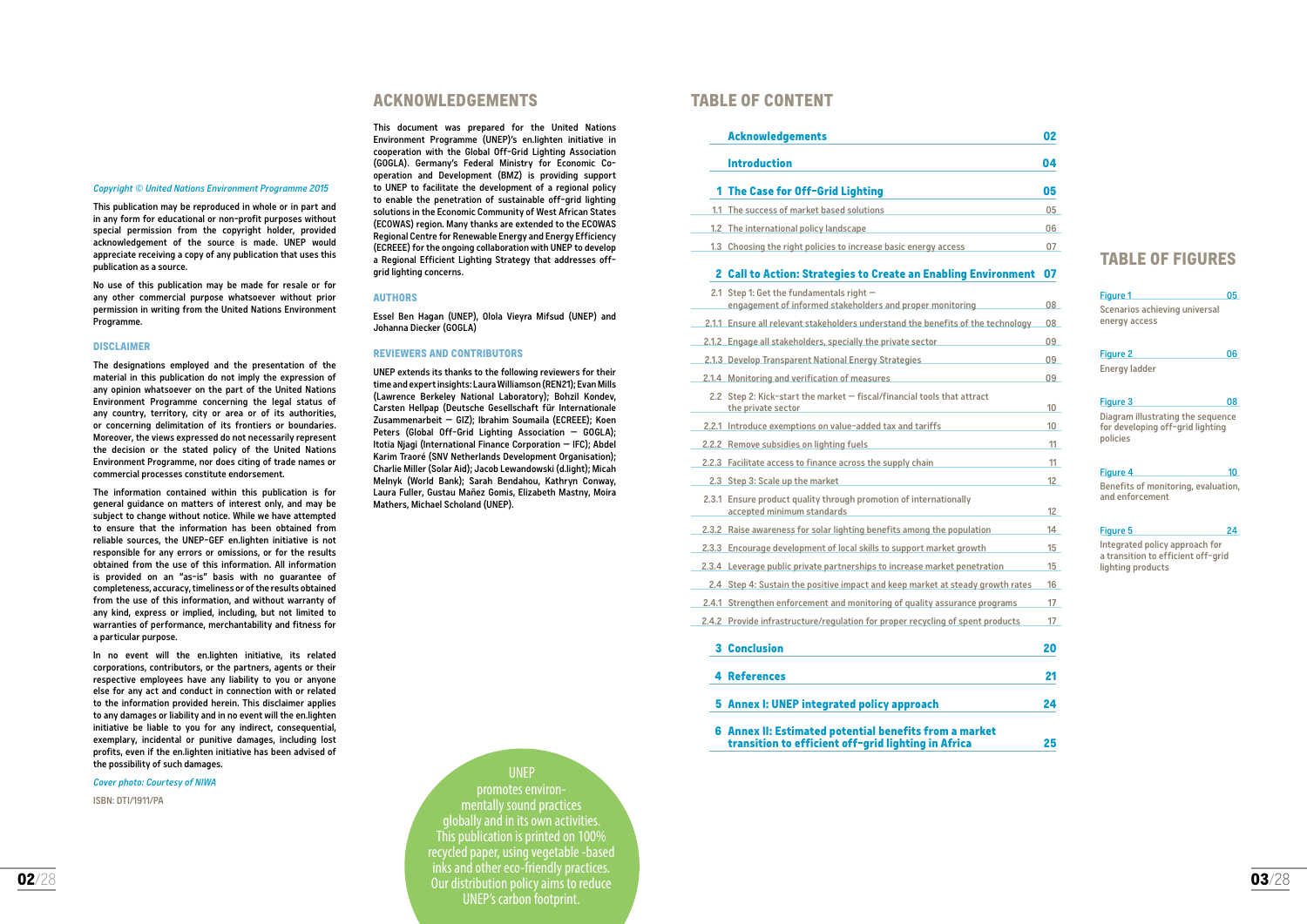#### *Copyright © United Nations Environment Programme 2015*

This publication may be reproduced in whole or in part and in any form for educational or non-profit purposes without special permission from the copyright holder, provided acknowledgement of the source is made. UNEP would appreciate receiving a copy of any publication that uses this publication as a source.

No use of this publication may be made for resale or for any other commercial purpose whatsoever without prior permission in writing from the United Nations Environment Programme.

#### Disclaimer

The designations employed and the presentation of the material in this publication do not imply the expression of any opinion whatsoever on the part of the United Nations Environment Programme concerning the legal status of any country, territory, city or area or of its authorities, or concerning delimitation of its frontiers or boundaries. Moreover, the views expressed do not necessarily represent the decision or the stated policy of the United Nations Environment Programme, nor does citing of trade names or commercial processes constitute endorsement.

The information contained within this publication is for general guidance on matters of interest only, and may be subject to change without notice. While we have attempted to ensure that the information has been obtained from reliable sources, the UNEP-GEF en.lighten initiative is not responsible for any errors or omissions, or for the results obtained from the use of this information. All information is provided on an "as-is" basis with no guarantee of completeness, accuracy, timeliness or of the results obtained from the use of this information, and without warranty of any kind, express or implied, including, but not limited to warranties of performance, merchantability and fitness for a particular purpose.

promotes environ- mentally sound practices globally and in its own activities. This publication is printed on 100% recycled paper, using vegetable -based inks and other eco-friendly practices. Our distribution policy aims to reduce UNEP's carbon footprint.  $\frac{1}{28}$  02/28 **02**/28 **03/28** 

In no event will the en.lighten initiative, its related corporations, contributors, or the partners, agents or their respective employees have any liability to you or anyone else for any act and conduct in connection with or related to the information provided herein. This disclaimer applies to any damages or liability and in no event will the en.lighten initiative be liable to you for any indirect, consequential, exemplary, incidental or punitive damages, including lost profits, even if the en.lighten initiative has been advised of the possibility of such damages.

#### *Cover photo: Courtesy of NIWA*

ISBN: DTI/1911/PA

### Acknowledgements

This document was prepared for the United Nations Environment Programme (UNEP)'s en.lighten initiative in cooperation with the Global Off-Grid Lighting Association (GOGLA). Germany's Federal Ministry for Economic Cooperation and Development (BMZ) is providing support to UNEP to facilitate the development of a regional policy to enable the penetration of sustainable off-grid lighting solutions in the Economic Community of West African States (ECOWAS) region. Many thanks are extended to the ECOWAS Regional Centre for Renewable Energy and Energy Efficiency (ECREEE) for the ongoing collaboration with UNEP to develop a Regional Efficient Lighting Strategy that addresses offgrid lighting concerns.

#### **AUTHORS**

Essel Ben Hagan (UNEP), Olola Vieyra Mifsud (UNEP) and Johanna Diecker (GOGLA)

#### Reviewers and Contributors

UNEP extends its thanks to the following reviewers for their time and expert insights: Laura Williamson (REN21); Evan Mills (Lawrence Berkeley National Laboratory); Bohzil Kondev, Carsten Hellpap (Deutsche Gesellschaft für Internationale Zusammenarbeit – GIZ); Ibrahim Soumaila (ECREEE); Koen Peters (Global Off-Grid Lighting Association – GOGLA); Itotia Njagi (International Finance Corporation – IFC); Abdel Karim Traoré (SNV Netherlands Development Organisation); Charlie Miller (Solar Aid); Jacob Lewandowski (d.light); Micah Melnyk (World Bank); Sarah Bendahou, Kathryn Conway, Laura Fuller, Gustau Mañez Gomis, Elizabeth Mastny, Moira Mathers, Michael Scholand (UNEP).

UNEP

### TABLE OF CONTENT

### **Acknowledgements Introduction** 1 The Case for Off-Grid Lighting 1.1 The success of market based solutions 1.2 The international policy landscape 1.3 Choosing the right policies to increase basic energy access 2 Call to Action: Strategies to Create an Enabling Environment 2.1 Step 1: Get the fundamentals right – engagement of informed stakeholders and proper monitoring 2.1.1 Ensure all relevant stakeholders understand the benefits of the t 2.1.2 Engage all stakeholders, specially the private sector 2.1.3 Develop Transparent National Energy Strategies 2.1.4 Monitoring and verification of measures 2.2 Step 2: Kick-start the market – fiscal/financial tools that attract the private sector 2.2.1 Introduce exemptions on value-added tax and tariffs 2.2.2 Remove subsidies on lighting fuels 2.2.3 Facilitate access to finance across the supply chain 2.3 Step 3: Scale up the market 2.3.1 Ensure product quality through promotion of internationally accepted minimum standards 2.3.2 Raise awareness for solar lighting benefits among the population 2.3.3 Encourage development of local skills to support market growth 2.3.4 Leverage public private partnerships to increase market penetration 2.4 Step 4: Sustain the positive impact and keep market at steady growth. 2.4.1 Strengthen enforcement and monitoring of quality assurance programs 2.4.2 Provide infrastructure/regulation for proper recycling of spent p **3 Conclusion**

### 4 References

Scenarios achieving universal energy access

#### Figure 2 06

Energy ladder

#### Figure 3 08

#### Diagram illustrating the sequence for developing off-grid lighting policies

#### Figure 4 10

Benefits of monitoring, evaluation, and enforcement

#### Figure 5 24

Integrated policy approach for a transition to efficient off-grid lighting products



#### 5 Annex I: UNEP integrated policy approach 24

#### 6 Annex II: Estimated potential benefits from a market transition to efficient off-grid lighting in Africa

|                             | 02                          |
|-----------------------------|-----------------------------|
|                             | 04                          |
|                             | 05                          |
|                             | $\overline{\phantom{0}}$ 05 |
|                             |                             |
|                             |                             |
| ironment 07                 |                             |
|                             |                             |
|                             |                             |
| echnology 08                |                             |
|                             |                             |
|                             |                             |
|                             |                             |
|                             |                             |
|                             |                             |
|                             |                             |
| $\sim$ 11                   |                             |
| $\overline{\phantom{1}}$ 11 |                             |
|                             | $\overline{\phantom{1}}$ 12 |
|                             | $\overline{\phantom{0}12}$  |
| $\frac{1}{14}$              |                             |
|                             |                             |
| tion 15                     |                             |
| owth rates 16               |                             |
| ograms 17                   |                             |
| <u>roducts</u>              | 17                          |
|                             |                             |
|                             | 20                          |
|                             | 21                          |
|                             | 24                          |
| )t                          | 25                          |

### TABLE OF FIGURES

#### Figure 1 05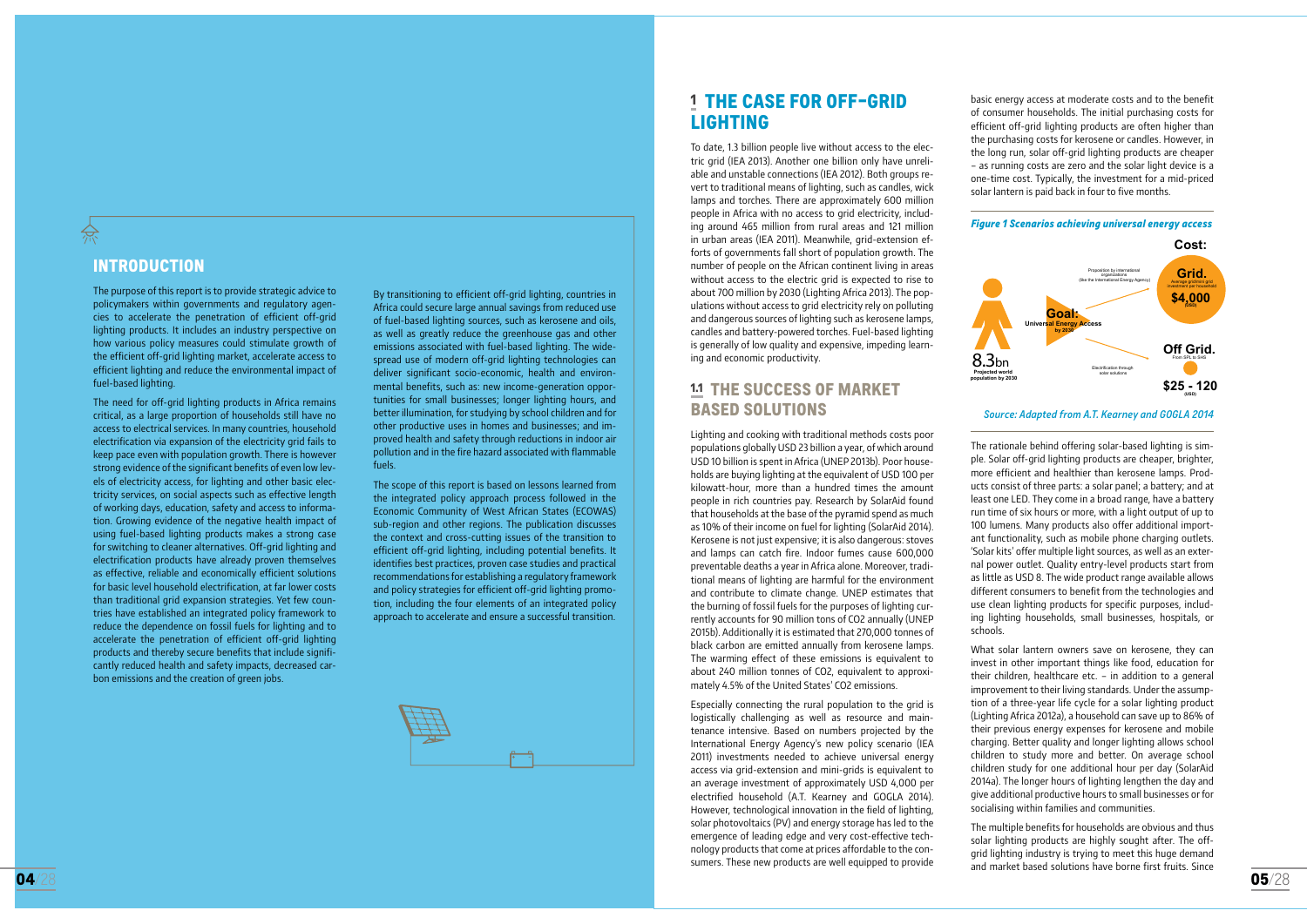## 佘

### **INTRODUCTION**

To date, 1.3 billion people live without access to the electric grid (IEA 2013). Another one billion only have unreliable and unstable connections (IEA 2012). Both groups revert to traditional means of lighting, such as candles, wick lamps and torches. There are approximately 600 million people in Africa with no access to grid electricity, including around 465 million from rural areas and 121 million in urban areas (IEA 2011). Meanwhile, grid-extension efforts of governments fall short of population growth. The number of people on the African continent living in areas without access to the electric grid is expected to rise to about 700 million by 2030 (Lighting Africa 2013). The populations without access to grid electricity rely on polluting and dangerous sources of lighting such as kerosene lamps, candles and battery-powered torches. Fuel-based lighting is generally of low quality and expensive, impeding learning and economic productivity.

### 1.1 The success of market based solutions

Lighting and cooking with traditional methods costs poor populations globally USD 23 billion a year, of which around USD 10 billion is spent in Africa (UNEP 2013b). Poor households are buying lighting at the equivalent of USD 100 per kilowatt-hour, more than a hundred times the amount people in rich countries pay. Research by SolarAid found that households at the base of the pyramid spend as much as 10% of their income on fuel for lighting (SolarAid 2014). Kerosene is not just expensive; it is also dangerous: stoves and lamps can catch fire. Indoor fumes cause 600,000 preventable deaths a year in Africa alone. Moreover, traditional means of lighting are harmful for the environment and contribute to climate change. UNEP estimates that the burning of fossil fuels for the purposes of lighting currently accounts for 90 million tons of CO2 annually (UNEP 2015b). Additionally it is estimated that 270,000 tonnes of black carbon are emitted annually from kerosene lamps. The warming effect of these emissions is equivalent to about 240 million tonnes of CO2, equivalent to approximately 4.5% of the United States' CO2 emissions.

Especially connecting the rural population to the grid is logistically challenging as well as resource and maintenance intensive. Based on numbers projected by the International Energy Agency's new policy scenario (IEA 2011) investments needed to achieve universal energy access via grid-extension and mini-grids is equivalent to an average investment of approximately USD 4,000 per electrified household (A.T. Kearney and GOGLA 2014). However, technological innovation in the field of lighting, solar photovoltaics (PV) and energy storage has led to the emergence of leading edge and very cost-effective technology products that come at prices affordable to the consumers. These new products are well equipped to provide

basic energy access at moderate costs and to the benefit of consumer households. The initial purchasing costs for efficient off-grid lighting products are often higher than the purchasing costs for kerosene or candles. However, in the long run, solar off-grid lighting products are cheaper – as running costs are zero and the solar light device is a one-time cost. Typically, the investment for a mid-priced solar lantern is paid back in four to five months.



*Source: Adapted from A.T. Kearney and GOGLA 2014*

The rationale behind offering solar-based lighting is simple. Solar off-grid lighting products are cheaper, brighter, more efficient and healthier than kerosene lamps. Products consist of three parts: a solar panel; a battery; and at least one LED. They come in a broad range, have a battery run time of six hours or more, with a light output of up to 100 lumens. Many products also offer additional important functionality, such as mobile phone charging outlets. 'Solar kits' offer multiple light sources, as well as an external power outlet. Quality entry-level products start from as little as USD 8. The wide product range available allows different consumers to benefit from the technologies and use clean lighting products for specific purposes, including lighting households, small businesses, hospitals, or schools.

What solar lantern owners save on kerosene, they can invest in other important things like food, education for their children, healthcare etc. – in addition to a general improvement to their living standards. Under the assumption of a three-year life cycle for a solar lighting product (Lighting Africa 2012a), a household can save up to 86% of their previous energy expenses for kerosene and mobile charging. Better quality and longer lighting allows school children to study more and better. On average school children study for one additional hour per day (SolarAid 2014a). The longer hours of lighting lengthen the day and give additional productive hours to small businesses or for socialising within families and communities.

The multiple benefits for households are obvious and thus solar lighting products are highly sought after. The offgrid lighting industry is trying to meet this huge demand and market based solutions have borne first fruits. Since

The purpose of this report is to provide strategic advice to policymakers within governments and regulatory agencies to accelerate the penetration of efficient off-grid lighting products. It includes an industry perspective on how various policy measures could stimulate growth of the efficient off-grid lighting market, accelerate access to efficient lighting and reduce the environmental impact of fuel-based lighting.

The need for off-grid lighting products in Africa remains critical, as a large proportion of households still have no access to electrical services. In many countries, household electrification via expansion of the electricity grid fails to keep pace even with population growth. There is however strong evidence of the significant benefits of even low levels of electricity access, for lighting and other basic electricity services, on social aspects such as effective length of working days, education, safety and access to information. Growing evidence of the negative health impact of using fuel-based lighting products makes a strong case for switching to cleaner alternatives. Off-grid lighting and electrification products have already proven themselves as effective, reliable and economically efficient solutions for basic level household electrification, at far lower costs than traditional grid expansion strategies. Yet few countries have established an integrated policy framework to reduce the dependence on fossil fuels for lighting and to accelerate the penetration of efficient off-grid lighting products and thereby secure benefits that include significantly reduced health and safety impacts, decreased carbon emissions and the creation of green jobs.

By transitioning to efficient off-grid lighting, countries in Africa could secure large annual savings from reduced use of fuel-based lighting sources, such as kerosene and oils, as well as greatly reduce the greenhouse gas and other emissions associated with fuel-based lighting. The widespread use of modern off-grid lighting technologies can deliver significant socio-economic, health and environmental benefits, such as: new income-generation opportunities for small businesses; longer lighting hours, and better illumination, for studying by school children and for other productive uses in homes and businesses; and improved health and safety through reductions in indoor air pollution and in the fire hazard associated with flammable fuels.

The scope of this report is based on lessons learned from the integrated policy approach process followed in the Economic Community of West African States (ECOWAS) sub-region and other regions. The publication discusses the context and cross-cutting issues of the transition to efficient off-grid lighting, including potential benefits. It identifies best practices, proven case studies and practical recommendations for establishing a regulatory framework and policy strategies for efficient off-grid lighting promotion, including the four elements of an integrated policy approach to accelerate and ensure a successful transition.



### 1 The Case for Off-Grid **LIGHTING**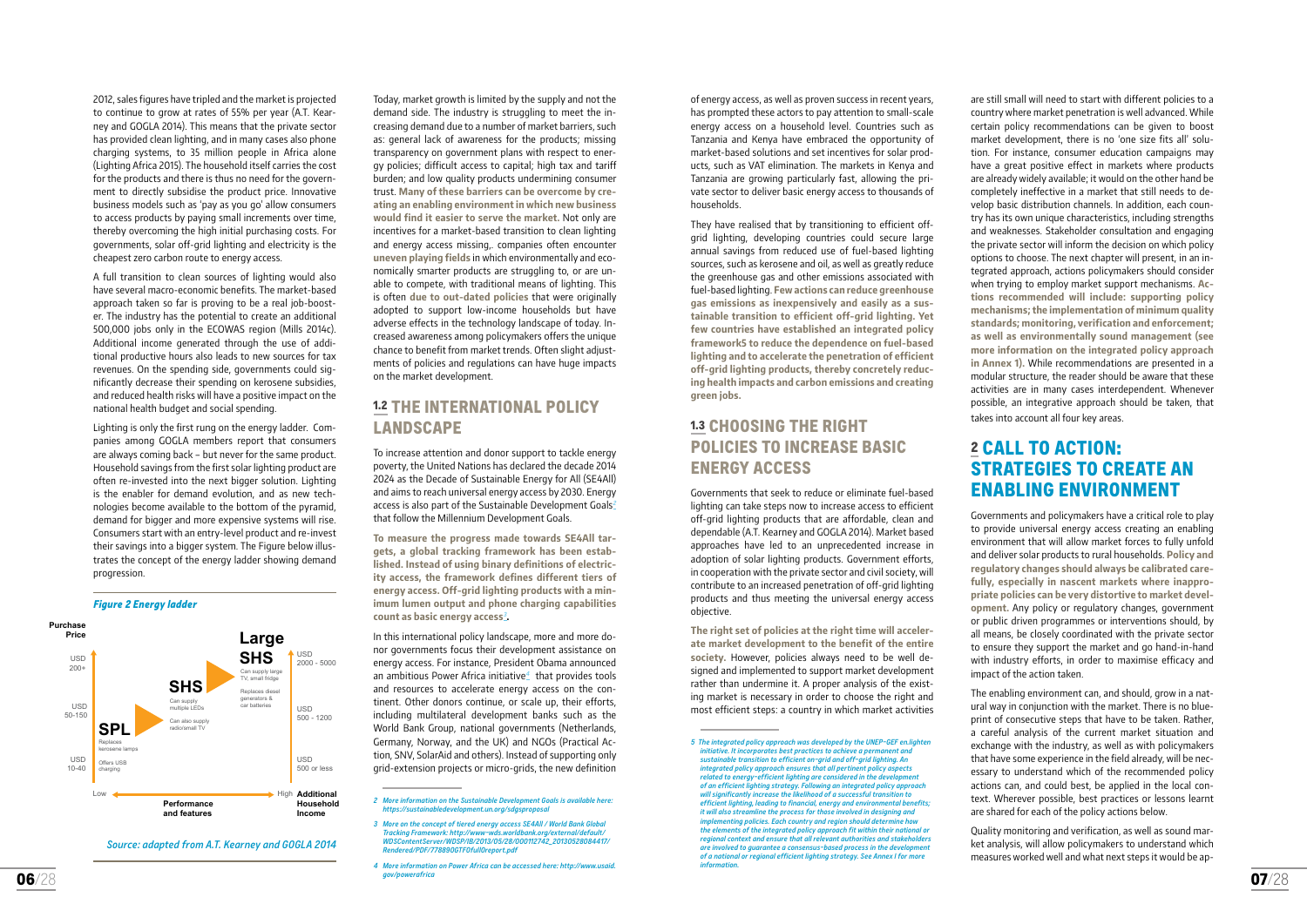of energy access, as well as proven success in recent years, has prompted these actors to pay attention to small-scale energy access on a household level. Countries such as Tanzania and Kenya have embraced the opportunity of market-based solutions and set incentives for solar products, such as VAT elimination. The markets in Kenya and Tanzania are growing particularly fast, allowing the private sector to deliver basic energy access to thousands of households.

They have realised that by transitioning to efficient offgrid lighting, developing countries could secure large annual savings from reduced use of fuel-based lighting sources, such as kerosene and oil, as well as greatly reduce the greenhouse gas and other emissions associated with fuel-based lighting. **Few actions can reduce greenhouse gas emissions as inexpensively and easily as a sustainable transition to efficient off-grid lighting. Yet few countries have established an integrated policy framework5 to reduce the dependence on fuel-based lighting and to accelerate the penetration of efficient off-grid lighting products, thereby concretely reducing health impacts and carbon emissions and creating green jobs.**

### 1.3 Choosing the right policies to increase basic energy access

Governments that seek to reduce or eliminate fuel-based lighting can take steps now to increase access to efficient off-grid lighting products that are affordable, clean and dependable (A.T. Kearney and GOGLA 2014). Market based approaches have led to an unprecedented increase in adoption of solar lighting products. Government efforts, in cooperation with the private sector and civil society, will contribute to an increased penetration of off-grid lighting products and thus meeting the universal energy access objective.

**The right set of policies at the right time will accelerate market development to the benefit of the entire society.** However, policies always need to be well designed and implemented to support market development rather than undermine it. A proper analysis of the existing market is necessary in order to choose the right and most efficient steps: a country in which market activities

are still small will need to start with different policies to a country where market penetration is well advanced. While certain policy recommendations can be given to boost market development, there is no 'one size fits all' solution. For instance, consumer education campaigns may have a great positive effect in markets where products are already widely available; it would on the other hand be completely ineffective in a market that still needs to develop basic distribution channels. In addition, each country has its own unique characteristics, including strengths and weaknesses. Stakeholder consultation and engaging the private sector will inform the decision on which policy options to choose. The next chapter will present, in an integrated approach, actions policymakers should consider when trying to employ market support mechanisms. **Actions recommended will include: supporting policy mechanisms; the implementation of minimum quality standards; monitoring, verification and enforcement; as well as environmentally sound management (see more information on the integrated policy approach in Annex 1).** While recommendations are presented in a modular structure, the reader should be aware that these activities are in many cases interdependent. Whenever possible, an integrative approach should be taken, that takes into account all four key areas.

### 2 Call to Action: Strategies to Create an Enabling Environment

Governments and policymakers have a critical role to play to provide universal energy access creating an enabling environment that will allow market forces to fully unfold and deliver solar products to rural households. **Policy and regulatory changes should always be calibrated carefully, especially in nascent markets where inappropriate policies can be very distortive to market development.** Any policy or regulatory changes, government or public driven programmes or interventions should, by all means, be closely coordinated with the private sector to ensure they support the market and go hand-in-hand with industry efforts, in order to maximise efficacy and impact of the action taken.

The enabling environment can, and should, grow in a natural way in conjunction with the market. There is no blueprint of consecutive steps that have to be taken. Rather, a careful analysis of the current market situation and exchange with the industry, as well as with policymakers that have some experience in the field already, will be necessary to understand which of the recommended policy actions can, and could best, be applied in the local context. Wherever possible, best practices or lessons learnt are shared for each of the policy actions below.

Quality monitoring and verification, as well as sound market analysis, will allow policymakers to understand which measures worked well and what next steps it would be ap-

2012, sales figures have tripled and the market is projected to continue to grow at rates of 55% per year (A.T. Kearney and GOGLA 2014). This means that the private sector has provided clean lighting, and in many cases also phone charging systems, to 35 million people in Africa alone (Lighting Africa 2015). The household itself carries the cost for the products and there is thus no need for the government to directly subsidise the product price. Innovative business models such as 'pay as you go' allow consumers to access products by paying small increments over time, thereby overcoming the high initial purchasing costs. For governments, solar off-grid lighting and electricity is the cheapest zero carbon route to energy access.

A full transition to clean sources of lighting would also have several macro-economic benefits. The market-based approach taken so far is proving to be a real job-booster. The industry has the potential to create an additional 500,000 jobs only in the ECOWAS region (Mills 2014c). Additional income generated through the use of additional productive hours also leads to new sources for tax revenues. On the spending side, governments could significantly decrease their spending on kerosene subsidies, and reduced health risks will have a positive impact on the national health budget and social spending.

Lighting is only the first rung on the energy ladder. Companies among GOGLA members report that consumers are always coming back – but never for the same product. Household savings from the first solar lighting product are often re-invested into the next bigger solution. Lighting is the enabler for demand evolution, and as new technologies become available to the bottom of the pyramid, demand for bigger and more expensive systems will rise. Consumers start with an entry-level product and re-invest their savings into a bigger system. The Figure below illustrates the concept of the energy ladder showing demand progression.



*Source: adapted from A.T. Kearney and GOGLA 2014*

Today, market growth is limited by the supply and not the demand side. The industry is struggling to meet the increasing demand due to a number of market barriers, such as: general lack of awareness for the products; missing transparency on government plans with respect to energy policies; difficult access to capital; high tax and tariff burden; and low quality products undermining consumer trust. **Many of these barriers can be overcome by creating an enabling environment in which new business would find it easier to serve the market.** Not only are incentives for a market-based transition to clean lighting and energy access missing,. companies often encounter **uneven playing fields** in which environmentally and economically smarter products are struggling to, or are unable to compete, with traditional means of lighting. This is often **due to out-dated policies** that were originally adopted to support low-income households but have adverse effects in the technology landscape of today. Increased awareness among policymakers offers the unique chance to benefit from market trends. Often slight adjustments of policies and regulations can have huge impacts on the market development.

### 1.2 The international policy landscape

To increase attention and donor support to tackle energy poverty, the United Nations has declared the decade 2014 2024 as the Decade of Sustainable Energy for All (SE4All) and aims to reach universal energy access by 2030. Energy access is also part of the Sustainable Development Goals*<sup>2</sup>* that follow the Millennium Development Goals.

**To measure the progress made towards SE4All targets, a global tracking framework has been established. Instead of using binary definitions of electricity access, the framework defines different tiers of energy access. Off-grid lighting products with a minimum lumen output and phone charging capabilities count as basic energy access***<sup>3</sup>* **.** 

In this international policy landscape, more and more donor governments focus their development assistance on energy access. For instance, President Obama announced an ambitious Power Africa initiative*<sup>4</sup>* that provides tools and resources to accelerate energy access on the continent. Other donors continue, or scale up, their efforts, including multilateral development banks such as the World Bank Group, national governments (Netherlands, Germany, Norway, and the UK) and NGOs (Practical Action, SNV, SolarAid and others). Instead of supporting only grid-extension projects or micro-grids, the new definition

*<sup>5</sup> The integrated policy approach was developed by the UNEP-GEF en.lighten initiative. It incorporates best practices to achieve a permanent and sustainable transition to efficient on-grid and off-grid lighting. An integrated policy approach ensures that all pertinent policy aspects related to energy-efficient lighting are considered in the development of an efficient lighting strategy. Following an integrated policy approach will significantly increase the likelihood of a successful transition to efficient lighting, leading to financial, energy and environmental benefits; it will also streamline the process for those involved in designing and implementing policies. Each country and region should determine how the elements of the integrated policy approach fit within their national or regional context and ensure that all relevant authorities and stakeholders are involved to guarantee a consensus-based process in the development of a national or regional efficient lighting strategy. See Annex I for more information.*

*<sup>2</sup> More information on the Sustainable Development Goals is available here: https://sustainabledevelopment.un.org/sdgsproposal*

*<sup>3</sup> More on the concept of tiered energy access SE4All / World Bank Global Tracking Framework: http://www-wds.worldbank.org/external/default/ WDSContentServer/WDSP/IB/2013/05/28/000112742\_20130528084417/ Rendered/PDF/778890GTF0full0report.pdf*

*<sup>4</sup> More information on Power Africa can be accessed here: http://www.usaid. gov/powerafrica* 06/28 07/28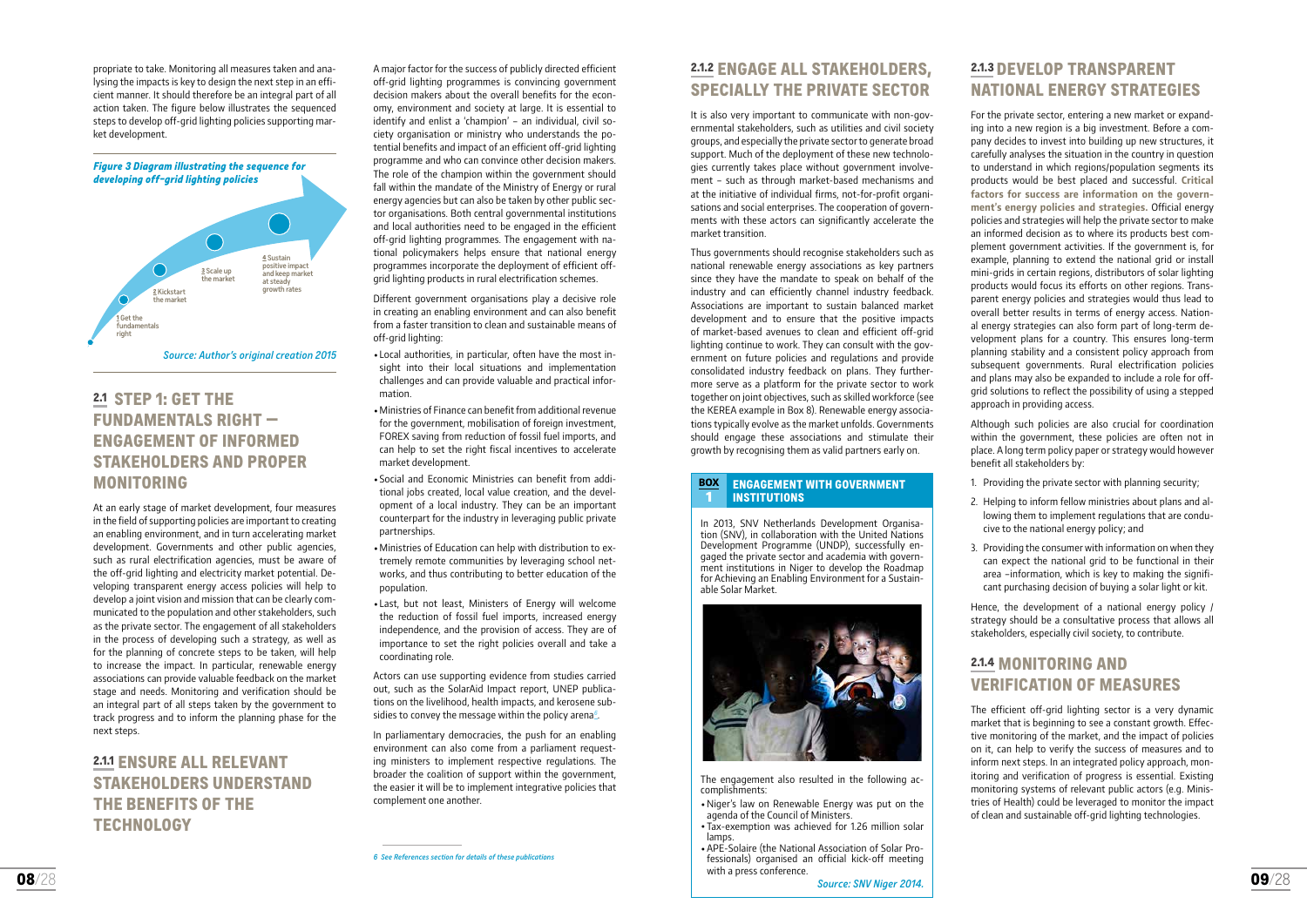### 2.1.2 Engage all stakeholders, specially the private sector

It is also very important to communicate with non-governmental stakeholders, such as utilities and civil society groups, and especially the private sector to generate broad support. Much of the deployment of these new technologies currently takes place without government involvement – such as through market-based mechanisms and at the initiative of individual firms, not-for-profit organisations and social enterprises. The cooperation of governments with these actors can significantly accelerate the market transition.

#### **Box** Engagement with government 1 **INSTITUTIONS**

Thus governments should recognise stakeholders such as national renewable energy associations as key partners since they have the mandate to speak on behalf of the industry and can efficiently channel industry feedback. Associations are important to sustain balanced market development and to ensure that the positive impacts of market-based avenues to clean and efficient off-grid lighting continue to work. They can consult with the government on future policies and regulations and provide consolidated industry feedback on plans. They furthermore serve as a platform for the private sector to work together on joint objectives, such as skilled workforce (see the KEREA example in Box 8). Renewable energy associations typically evolve as the market unfolds. Governments should engage these associations and stimulate their growth by recognising them as valid partners early on.

- Niger's law on Renewable Energy was put on the agenda of the Council of Ministers.
- • Tax-exemption was achieved for 1.26 million solar lamps
- • APE-Solaire (the National Association of Solar Professionals) organised an official kick-off meeting with a press conference.

In 2013, SNV Netherlands Development Organisation (SNV), in collaboration with the United Nations Development Programme (UNDP), successfully engaged the private sector and academia with government institutions in Niger to develop the Roadmap for Achieving an Enabling Environment for a Sustainable Solar Market.



The engagement also resulted in the following accomplishments:

### 2.1.4 MONITORING AND verification of measures

### 2.1.3 Develop Transparent National Energy Strategies

### 2.1 STEP 1: GET THE fundamentals right – engagement of informed stakeholders and proper monitoring

For the private sector, entering a new market or expanding into a new region is a big investment. Before a company decides to invest into building up new structures, it carefully analyses the situation in the country in question to understand in which regions/population segments its products would be best placed and successful. **Critical factors for success are information on the government's energy policies and strategies.** Official energy policies and strategies will help the private sector to make an informed decision as to where its products best complement government activities. If the government is, for example, planning to extend the national grid or install mini-grids in certain regions, distributors of solar lighting products would focus its efforts on other regions. Transparent energy policies and strategies would thus lead to overall better results in terms of energy access. National energy strategies can also form part of long-term development plans for a country. This ensures long-term planning stability and a consistent policy approach from subsequent governments. Rural electrification policies and plans may also be expanded to include a role for offgrid solutions to reflect the possibility of using a stepped approach in providing access.

### 2.1.1 Ensure all relevant stakeholders understand the benefits of the **TECHNOLOGY**

Although such policies are also crucial for coordination within the government, these policies are often not in place. A long term policy paper or strategy would however benefit all stakeholders by:

1. Providing the private sector with planning security;

2. Helping to inform fellow ministries about plans and allowing them to implement regulations that are conducive to the national energy policy; and

3. Providing the consumer with information on when they can expect the national grid to be functional in their area –information, which is key to making the significant purchasing decision of buying a solar light or kit.

Hence, the development of a national energy policy / strategy should be a consultative process that allows all stakeholders, especially civil society, to contribute.

- Local authorities, in particular, often have the most insight into their local situations and implementation challenges and can provide valuable and practical information.
- • Ministries of Finance can benefit from additional revenue for the government, mobilisation of foreign investment, FOREX saving from reduction of fossil fuel imports, and can help to set the right fiscal incentives to accelerate market development.
- • Social and Economic Ministries can benefit from additional jobs created, local value creation, and the development of a local industry. They can be an important counterpart for the industry in leveraging public private partnerships.
- • Ministries of Education can help with distribution to extremely remote communities by leveraging school networks, and thus contributing to better education of the population.
- Last, but not least, Ministers of Energy will welcome the reduction of fossil fuel imports, increased energy independence, and the provision of access. They are of importance to set the right policies overall and take a coordinating role.

Actors can use supporting evidence from studies carried out, such as the SolarAid Impact report, UNEP publications on the livelihood, health impacts, and kerosene subsidies to convey the message within the policy arena<sup>6</sup>.

The efficient off-grid lighting sector is a very dynamic market that is beginning to see a constant growth. Effective monitoring of the market, and the impact of policies on it, can help to verify the success of measures and to inform next steps. In an integrated policy approach, monitoring and verification of progress is essential. Existing monitoring systems of relevant public actors (e.g. Ministries of Health) could be leveraged to monitor the impact of clean and sustainable off-grid lighting technologies.

propriate to take. Monitoring all measures taken and analysing the impacts is key to design the next step in an efficient manner. It should therefore be an integral part of all action taken. The figure below illustrates the sequenced steps to develop off-grid lighting policies supporting market development.



*Source: SNV Niger 2014.* 08/28 09/28

At an early stage of market development, four measures in the field of supporting policies are important to creating an enabling environment, and in turn accelerating market development. Governments and other public agencies, such as rural electrification agencies, must be aware of the off-grid lighting and electricity market potential. Developing transparent energy access policies will help to develop a joint vision and mission that can be clearly communicated to the population and other stakeholders, such as the private sector. The engagement of all stakeholders in the process of developing such a strategy, as well as for the planning of concrete steps to be taken, will help to increase the impact. In particular, renewable energy associations can provide valuable feedback on the market stage and needs. Monitoring and verification should be an integral part of all steps taken by the government to track progress and to inform the planning phase for the next steps.

A major factor for the success of publicly directed efficient off-grid lighting programmes is convincing government decision makers about the overall benefits for the economy, environment and society at large. It is essential to identify and enlist a 'champion' – an individual, civil society organisation or ministry who understands the potential benefits and impact of an efficient off-grid lighting programme and who can convince other decision makers. The role of the champion within the government should fall within the mandate of the Ministry of Energy or rural energy agencies but can also be taken by other public sector organisations. Both central governmental institutions and local authorities need to be engaged in the efficient off-grid lighting programmes. The engagement with national policymakers helps ensure that national energy programmes incorporate the deployment of efficient offgrid lighting products in rural electrification schemes.

Different government organisations play a decisive role in creating an enabling environment and can also benefit from a faster transition to clean and sustainable means of off-grid lighting:

In parliamentary democracies, the push for an enabling environment can also come from a parliament requesting ministers to implement respective regulations. The broader the coalition of support within the government, the easier it will be to implement integrative policies that complement one another.

*6 See References section for details of these publications*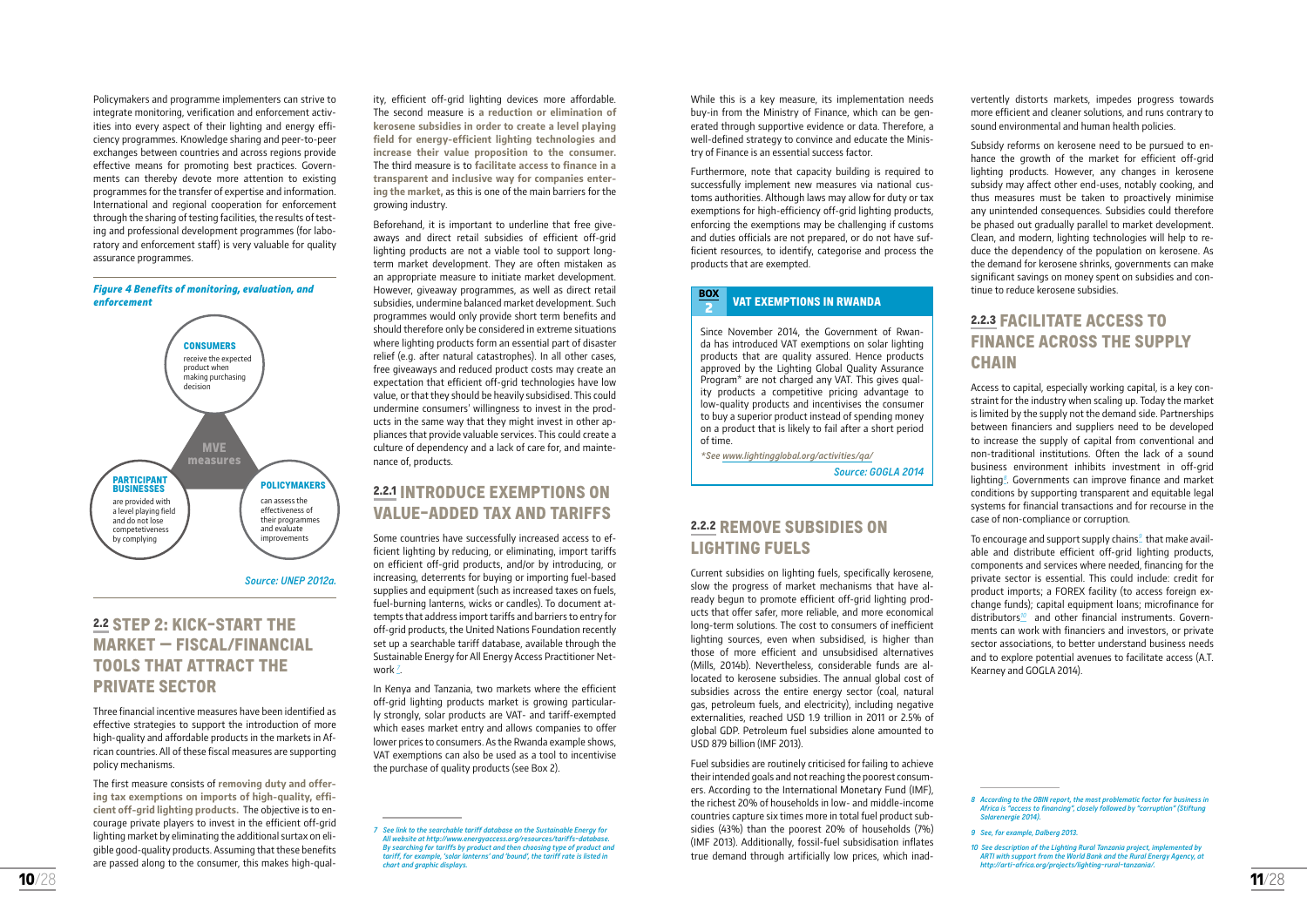While this is a key measure, its implementation needs buy-in from the Ministry of Finance, which can be generated through supportive evidence or data. Therefore, a well-defined strategy to convince and educate the Ministry of Finance is an essential success factor.

#### **Box**  $\frac{30x}{2}$  vat exemptions in Rwanda

Furthermore, note that capacity building is required to successfully implement new measures via national customs authorities. Although laws may allow for duty or tax exemptions for high-efficiency off-grid lighting products, enforcing the exemptions may be challenging if customs and duties officials are not prepared, or do not have sufficient resources, to identify, categorise and process the products that are exempted.

Since November 2014, the Government of Rwanda has introduced VAT exemptions on solar lighting products that are quality assured. Hence products approved by the Lighting Global Quality Assurance Program\* are not charged any VAT. This gives quality products a competitive pricing advantage to low-quality products and incentivises the consumer to buy a superior product instead of spending money on a product that is likely to fail after a short period of time.

*\*See www.lightingglobal.org/activities/qa/*

*Source: GOGLA 2014*

### 2.2.2 Remove subsidies on lighting fuels

### 2.2.3 Facilitate access to finance across the supply **CHAIN**

Current subsidies on lighting fuels, specifically kerosene, slow the progress of market mechanisms that have already begun to promote efficient off-grid lighting products that offer safer, more reliable, and more economical long-term solutions. The cost to consumers of inefficient lighting sources, even when subsidised, is higher than those of more efficient and unsubsidised alternatives (Mills, 2014b). Nevertheless, considerable funds are allocated to kerosene subsidies. The annual global cost of subsidies across the entire energy sector (coal, natural gas, petroleum fuels, and electricity), including negative externalities, reached USD 1.9 trillion in 2011 or 2.5% of global GDP. Petroleum fuel subsidies alone amounted to USD 879 billion (IMF 2013).

Fuel subsidies are routinely criticised for failing to achieve their intended goals and not reaching the poorest consumers. According to the International Monetary Fund (IMF), the richest 20% of households in low- and middle-income countries capture six times more in total fuel product subsidies (43%) than the poorest 20% of households (7%) (IMF 2013). Additionally, fossil-fuel subsidisation inflates true demand through artificially low prices, which inad-

vertently distorts markets, impedes progress towards more efficient and cleaner solutions, and runs contrary to sound environmental and human health policies.

Subsidy reforms on kerosene need to be pursued to enhance the growth of the market for efficient off-grid lighting products. However, any changes in kerosene subsidy may affect other end-uses, notably cooking, and thus measures must be taken to proactively minimise any unintended consequences. Subsidies could therefore be phased out gradually parallel to market development. Clean, and modern, lighting technologies will help to reduce the dependency of the population on kerosene. As the demand for kerosene shrinks, governments can make significant savings on money spent on subsidies and continue to reduce kerosene subsidies.

Access to capital, especially working capital, is a key constraint for the industry when scaling up. Today the market is limited by the supply not the demand side. Partnerships between financiers and suppliers need to be developed to increase the supply of capital from conventional and non-traditional institutions. Often the lack of a sound business environment inhibits investment in off-grid lighting*<sup>8</sup>* . Governments can improve finance and market conditions by supporting transparent and equitable legal systems for financial transactions and for recourse in the case of non-compliance or corruption.

To encourage and support supply chains*<sup>9</sup>* that make available and distribute efficient off-grid lighting products, components and services where needed, financing for the private sector is essential. This could include: credit for product imports; a FOREX facility (to access foreign exchange funds); capital equipment loans; microfinance for distributors*10* and other financial instruments. Governments can work with financiers and investors, or private sector associations, to better understand business needs and to explore potential avenues to facilitate access (A.T. Kearney and GOGLA 2014).



Policymakers and programme implementers can strive to integrate monitoring, verification and enforcement activities into every aspect of their lighting and energy efficiency programmes. Knowledge sharing and peer-to-peer exchanges between countries and across regions provide effective means for promoting best practices. Governments can thereby devote more attention to existing programmes for the transfer of expertise and information. International and regional cooperation for enforcement through the sharing of testing facilities, the results of testing and professional development programmes (for laboratory and enforcement staff) is very valuable for quality assurance programmes.

*Figure 4 Benefits of monitoring, evaluation, and* 



*Source: UNEP 2012a.*

### 2.2 Step 2: Kick-start the market – fiscal/financial tools that attract the private sector

Three financial incentive measures have been identified as effective strategies to support the introduction of more high-quality and affordable products in the markets in African countries. All of these fiscal measures are supporting policy mechanisms.

The first measure consists of **removing duty and offering tax exemptions on imports of high-quality, efficient off-grid lighting products.** The objective is to encourage private players to invest in the efficient off-grid lighting market by eliminating the additional surtax on eligible good-quality products. Assuming that these benefits are passed along to the consumer, this makes high-qual-

ity, efficient off-grid lighting devices more affordable. The second measure is **a reduction or elimination of kerosene subsidies in order to create a level playing field for energy-efficient lighting technologies and increase their value proposition to the consumer.**  The third measure is to **facilitate access to finance in a transparent and inclusive way for companies entering the market,** as this is one of the main barriers for the growing industry.

*<sup>10</sup> See description of the Lighting Rural Tanzania project, implemented by ARTI with support from the World Bank and the Rural Energy Agency, at http://arti-africa.org/projects/lighting-rural-tanzania/.*



Beforehand, it is important to underline that free giveaways and direct retail subsidies of efficient off-grid lighting products are not a viable tool to support longterm market development. They are often mistaken as an appropriate measure to initiate market development. However, giveaway programmes, as well as direct retail subsidies, undermine balanced market development. Such programmes would only provide short term benefits and should therefore only be considered in extreme situations where lighting products form an essential part of disaster relief (e.g. after natural catastrophes). In all other cases, free giveaways and reduced product costs may create an expectation that efficient off-grid technologies have low value, or that they should be heavily subsidised. This could undermine consumers' willingness to invest in the products in the same way that they might invest in other appliances that provide valuable services. This could create a culture of dependency and a lack of care for, and maintenance of, products.

### 2.2.1 Introduce exemptions on value-added tax and tariffs

Some countries have successfully increased access to efficient lighting by reducing, or eliminating, import tariffs on efficient off-grid products, and/or by introducing, or increasing, deterrents for buying or importing fuel-based supplies and equipment (such as increased taxes on fuels, fuel-burning lanterns, wicks or candles). To document attempts that address import tariffs and barriers to entry for off-grid products, the United Nations Foundation recently set up a searchable tariff database, available through the Sustainable Energy for All Energy Access Practitioner Network *<sup>7</sup>* .

In Kenya and Tanzania, two markets where the efficient off-grid lighting products market is growing particularly strongly, solar products are VAT- and tariff-exempted which eases market entry and allows companies to offer lower prices to consumers. As the Rwanda example shows, VAT exemptions can also be used as a tool to incentivise the purchase of quality products (see Box 2).

*<sup>8</sup> According to the OBIN report, the most problematic factor for business in Africa is "access to financing", closely followed by "corruption" (Stiftung Solarenergie 2014).*

*<sup>9</sup> See, for example, Dalberg 2013.* 

*<sup>7</sup> See link to the searchable tariff database on the Sustainable Energy for All website at http://www.energyaccess.org/resources/tariffs-database.*  **By searching for tariffs by product and then choosing type of product and** *tariff, for example, 'solar lanterns' and 'bound', the tariff rate is listed in chart and graphic displays.*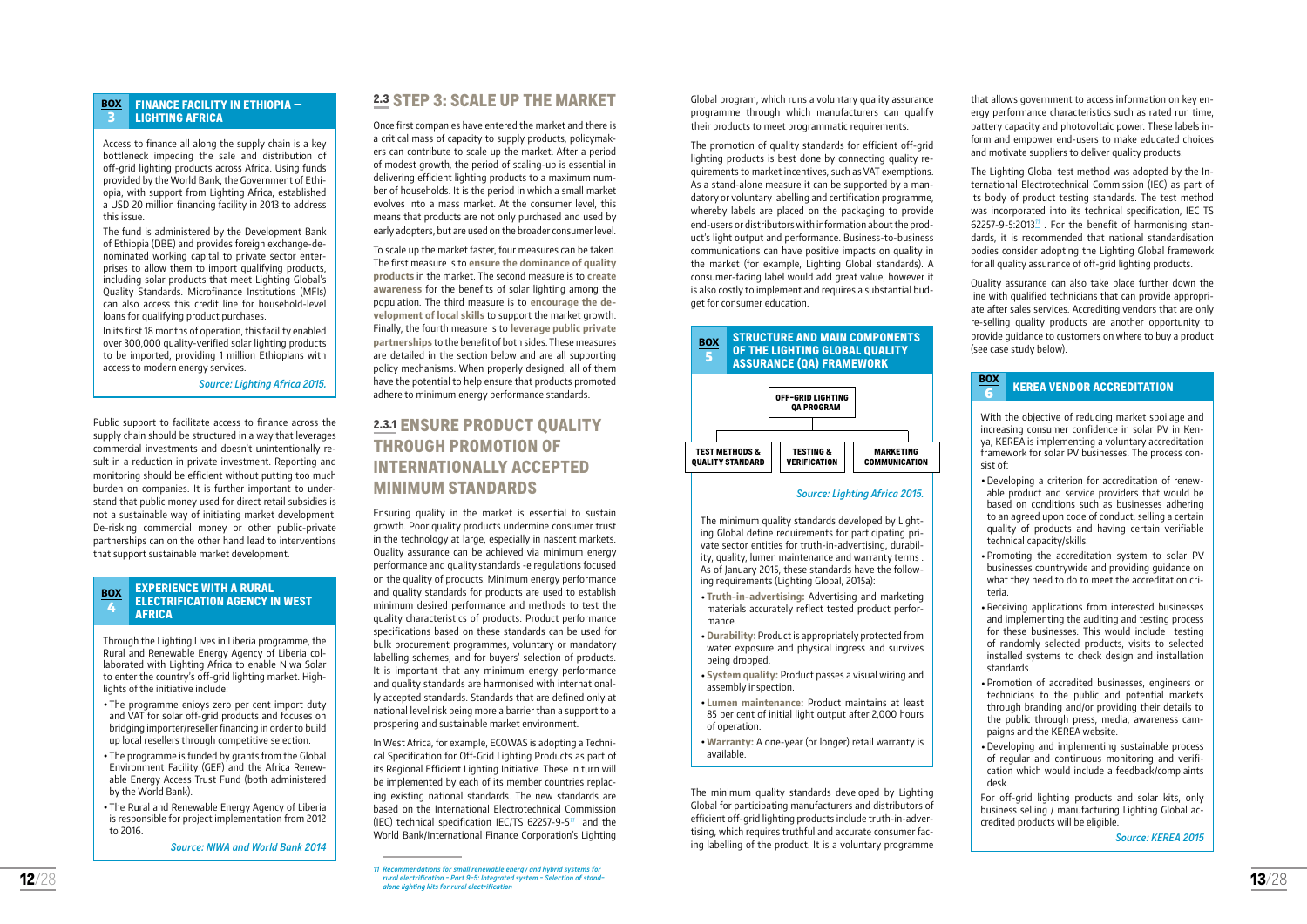Global program, which runs a voluntary quality assurance programme through which manufacturers can qualify their products to meet programmatic requirements.

The promotion of quality standards for efficient off-grid lighting products is best done by connecting quality requirements to market incentives, such as VAT exemptions. As a stand-alone measure it can be supported by a mandatory or voluntary labelling and certification programme, whereby labels are placed on the packaging to provide end-users or distributors with information about the product's light output and performance. Business-to-business communications can have positive impacts on quality in the market (for example, Lighting Global standards). A consumer-facing label would add great value, however it is also costly to implement and requires a substantial budget for consumer education.

#### **Box** 5 Structure and main components OF THE LIGHTING GLOBAL QUALITY assurance (QA) framework

#### TESTING & VERIFICATION TEST METHODS & QUALITY STANDARD MARKETING **COMMUNICATION** OFF-GRID LIGHTING QA PROGRAM

### *Source: Lighting Africa 2015.*

The minimum quality standards developed by Lighting Global define requirements for participating private sector entities for truth-in-advertising, durability, quality, lumen maintenance and warranty terms . As of January 2015, these standards have the following requirements (Lighting Global, 2015a):

#### **Box**  $\overline{6}$  KEREA VENDOR ACCREDITATION

- • **Truth-in-advertising:** Advertising and marketing materials accurately reflect tested product performance.
- • **Durability:** Product is appropriately protected from water exposure and physical ingress and survives being dropped.
- • **System quality:** Product passes a visual wiring and assembly inspection.
- • **Lumen maintenance:** Product maintains at least 85 per cent of initial light output after 2,000 hours of operation.
- • **Warranty:** A one-year (or longer) retail warranty is available.

The minimum quality standards developed by Lighting Global for participating manufacturers and distributors of efficient off-grid lighting products include truth-in-advertising, which requires truthful and accurate consumer facing labelling of the product. It is a voluntary programme • Receiving applications from interested businesses and implementing the auditing and testing process for these businesses. This would include testing of randomly selected products, visits to selected installed systems to check design and installation standards.

• Developing and implementing sustainable process of regular and continuous monitoring and verification which would include a feedback/complaints desk.

that allows government to access information on key energy performance characteristics such as rated run time, battery capacity and photovoltaic power. These labels inform and empower end-users to make educated choices and motivate suppliers to deliver quality products.

The Lighting Global test method was adopted by the International Electrotechnical Commission (IEC) as part of its body of product testing standards. The test method was incorporated into its technical specification, IEC TS 62257-9-5:2013*11* . For the benefit of harmonising standards, it is recommended that national standardisation bodies consider adopting the Lighting Global framework

for all quality assurance of off-grid lighting products. Quality assurance can also take place further down the line with qualified technicians that can provide appropriate after sales services. Accrediting vendors that are only re-selling quality products are another opportunity to provide guidance to customers on where to buy a product (see case study below).

With the objective of reducing market spoilage and increasing consumer confidence in solar PV in Kenya, KEREA is implementing a voluntary accreditation framework for solar PV businesses. The process consist of:

- The programme enjoys zero per cent import duty and VAT for solar off-grid products and focuses on bridging importer/reseller financing in order to build up local resellers through competitive selection.
- The programme is funded by grants from the Global Environment Facility (GEF) and the Africa Renewable Energy Access Trust Fund (both administered by the World Bank).
- The Rural and Renewable Energy Agency of Liberia is responsible for project implementation from 2012 to 2016.

• Developing a criterion for accreditation of renewable product and service providers that would be based on conditions such as businesses adhering to an agreed upon code of conduct, selling a certain quality of products and having certain verifiable technical capacity/skills.

• Promoting the accreditation system to solar PV businesses countrywide and providing guidance on what they need to do to meet the accreditation criteria.

• Promotion of accredited businesses, engineers or technicians to the public and potential markets through branding and/or providing their details to the public through press, media, awareness campaigns and the KEREA website.

For off-grid lighting products and solar kits, only business selling / manufacturing Lighting Global accredited products will be eligible.

*Source: KEREA 2015*

#### **Box** Finance facility in Ethiopia – 3 Lighting Africa

Access to finance all along the supply chain is a key bottleneck impeding the sale and distribution of off-grid lighting products across Africa. Using funds provided by the World Bank, the Government of Ethiopia, with support from Lighting Africa, established a USD 20 million financing facility in 2013 to address this issue.

The fund is administered by the Development Bank of Ethiopia (DBE) and provides foreign exchange-denominated working capital to private sector enterprises to allow them to import qualifying products, including solar products that meet Lighting Global's Quality Standards. Microfinance Institutions (MFIs) can also access this credit line for household-level loans for qualifying product purchases.

In its first 18 months of operation, this facility enabled over 300,000 quality-verified solar lighting products to be imported, providing 1 million Ethiopians with access to modern energy services.

*Source: Lighting Africa 2015.*

Public support to facilitate access to finance across the supply chain should be structured in a way that leverages commercial investments and doesn't unintentionally result in a reduction in private investment. Reporting and monitoring should be efficient without putting too much burden on companies. It is further important to understand that public money used for direct retail subsidies is not a sustainable way of initiating market development. De-risking commercial money or other public-private partnerships can on the other hand lead to interventions that support sustainable market development.

#### **Box** 4 experience with a rural electrification agency in West Africa

Through the Lighting Lives in Liberia programme, the Rural and Renewable Energy Agency of Liberia collaborated with Lighting Africa to enable Niwa Solar to enter the country's off-grid lighting market. Highlights of the initiative include:

*Source: NIWA and World Bank 2014*

### 2.3 Step 3: Scale up the market

Once first companies have entered the market and there is a critical mass of capacity to supply products, policymakers can contribute to scale up the market. After a period of modest growth, the period of scaling-up is essential in delivering efficient lighting products to a maximum number of households. It is the period in which a small market evolves into a mass market. At the consumer level, this means that products are not only purchased and used by early adopters, but are used on the broader consumer level.

To scale up the market faster, four measures can be taken. The first measure is to **ensure the dominance of quality products** in the market. The second measure is to **create awareness** for the benefits of solar lighting among the population. The third measure is to **encourage the development of local skills** to support the market growth. Finally, the fourth measure is to **leverage public private partnerships** to the benefit of both sides. These measures are detailed in the section below and are all supporting policy mechanisms. When properly designed, all of them have the potential to help ensure that products promoted adhere to minimum energy performance standards.

### 2.3.1 Ensure product quality through promotion of internationally accepted minimum standards

Ensuring quality in the market is essential to sustain growth. Poor quality products undermine consumer trust in the technology at large, especially in nascent markets. Quality assurance can be achieved via minimum energy performance and quality standards -e regulations focused on the quality of products. Minimum energy performance and quality standards for products are used to establish minimum desired performance and methods to test the quality characteristics of products. Product performance specifications based on these standards can be used for bulk procurement programmes, voluntary or mandatory labelling schemes, and for buyers' selection of products. It is important that any minimum energy performance and quality standards are harmonised with internationally accepted standards. Standards that are defined only at national level risk being more a barrier than a support to a prospering and sustainable market environment.

In West Africa, for example, ECOWAS is adopting a Technical Specification for Off-Grid Lighting Products as part of its Regional Efficient Lighting Initiative. These in turn will be implemented by each of its member countries replacing existing national standards. The new standards are based on the International Electrotechnical Commission (IEC) technical specification IEC/TS 62257-9-5*<sup>11</sup>* and the World Bank/International Finance Corporation's Lighting

*<sup>11</sup> Recommendations for small renewable energy and hybrid systems for rural electrification - Part 9-5: Integrated system - Selection of standrural electrification* - Part 9–5: Integrated system – Selectrion of stand-<br>alone lighting kits for rural electrification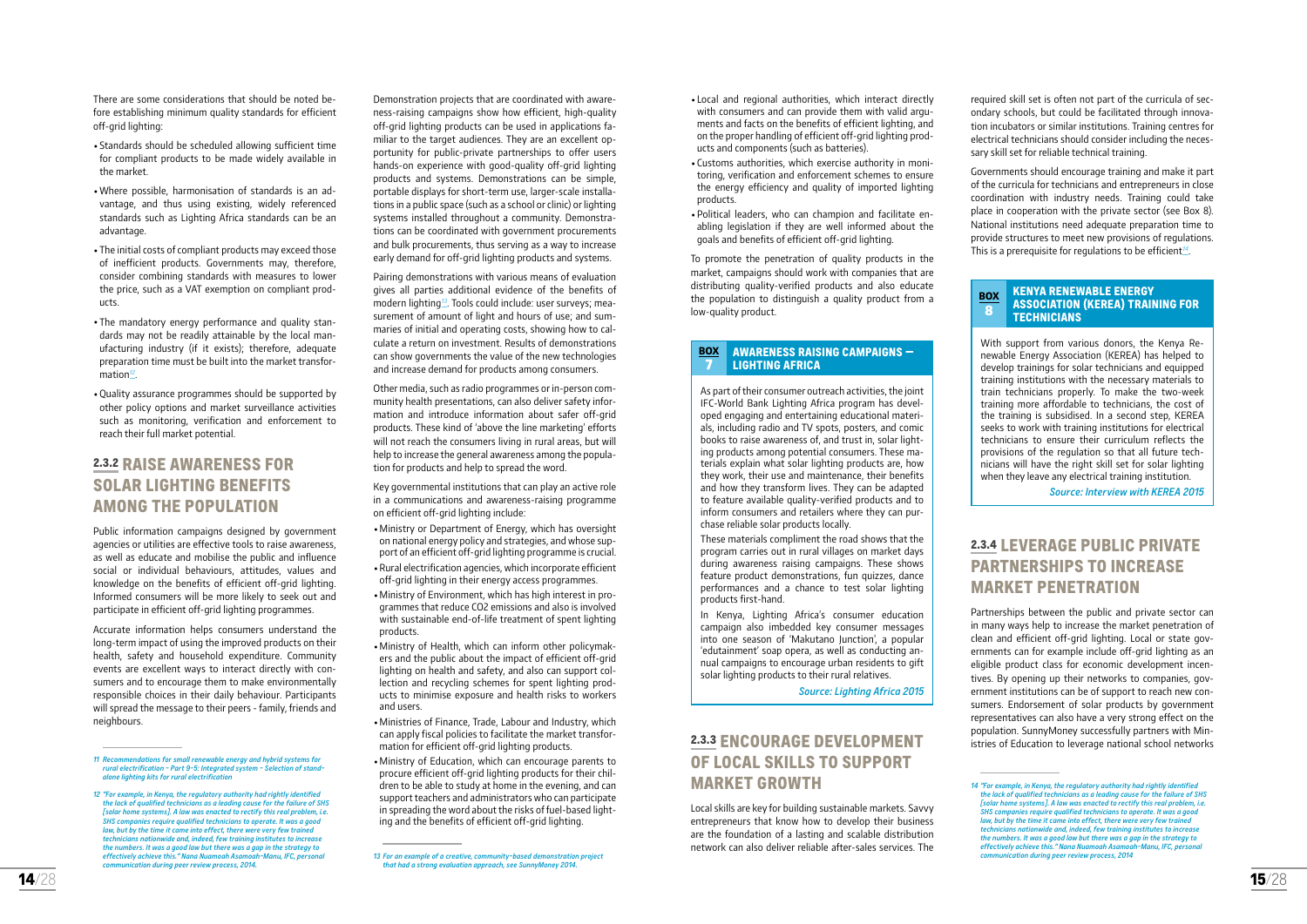- • Local and regional authorities, which interact directly with consumers and can provide them with valid arguments and facts on the benefits of efficient lighting, and on the proper handling of efficient off-grid lighting products and components (such as batteries).
- • Customs authorities, which exercise authority in monitoring, verification and enforcement schemes to ensure the energy efficiency and quality of imported lighting products.
- • Political leaders, who can champion and facilitate enabling legislation if they are well informed about the goals and benefits of efficient off-grid lighting.

To promote the penetration of quality products in the market, campaigns should work with companies that are distributing quality-verified products and also educate the population to distinguish a quality product from a low-quality product.

#### **Box** 7 Awareness raising campaigns – Lighting Africa

As part of their consumer outreach activities, the joint IFC-World Bank Lighting Africa program has developed engaging and entertaining educational materials, including radio and TV spots, posters, and comic books to raise awareness of, and trust in, solar lighting products among potential consumers. These materials explain what solar lighting products are, how they work, their use and maintenance, their benefits and how they transform lives. They can be adapted to feature available quality-verified products and to inform consumers and retailers where they can purchase reliable solar products locally.

#### Kenya Renewable Energy Association (KEREA) training for **TECHNICIANS**

These materials compliment the road shows that the program carries out in rural villages on market days during awareness raising campaigns. These shows feature product demonstrations, fun quizzes, dance performances and a chance to test solar lighting products first-hand.

In Kenya, Lighting Africa's consumer education campaign also imbedded key consumer messages into one season of 'Makutano Junction', a popular 'edutainment' soap opera, as well as conducting annual campaigns to encourage urban residents to gift solar lighting products to their rural relatives.

*Source: Lighting Africa 2015*

### 2.3.3 Encourage development of local skills to support market growth

Local skills are key for building sustainable markets. Savvy entrepreneurs that know how to develop their business are the foundation of a lasting and scalable distribution network can also deliver reliable after-sales services. The

required skill set is often not part of the curricula of secondary schools, but could be facilitated through innovation incubators or similar institutions. Training centres for electrical technicians should consider including the necessary skill set for reliable technical training.

Governments should encourage training and make it part of the curricula for technicians and entrepreneurs in close coordination with industry needs. Training could take place in cooperation with the private sector (see Box 8). National institutions need adequate preparation time to provide structures to meet new provisions of regulations. This is a prerequisite for regulations to be efficient*<sup>14</sup>*.

#### **Box** 8

- Standards should be scheduled allowing sufficient time for compliant products to be made widely available in the market.
- • Where possible, harmonisation of standards is an advantage, and thus using existing, widely referenced standards such as Lighting Africa standards can be an advantage.
- The initial costs of compliant products may exceed those of inefficient products. Governments may, therefore, consider combining standards with measures to lower the price, such as a VAT exemption on compliant products.
- The mandatory energy performance and quality standards may not be readily attainable by the local manufacturing industry (if it exists); therefore, adequate preparation time must be built into the market transformation*<sup>12</sup>*.
- • Quality assurance programmes should be supported by other policy options and market surveillance activities such as monitoring, verification and enforcement to reach their full market potential.

With support from various donors, the Kenya Renewable Energy Association (KEREA) has helped to develop trainings for solar technicians and equipped training institutions with the necessary materials to train technicians properly. To make the two-week training more affordable to technicians, the cost of the training is subsidised. In a second step, KEREA seeks to work with training institutions for electrical technicians to ensure their curriculum reflects the provisions of the regulation so that all future technicians will have the right skill set for solar lighting when they leave any electrical training institution.

*Source: Interview with KEREA 2015*

### 2.3.4 Leverage public private partnerships to increase market penetration

Partnerships between the public and private sector can in many ways help to increase the market penetration of clean and efficient off-grid lighting. Local or state governments can for example include off-grid lighting as an eligible product class for economic development incentives. By opening up their networks to companies, government institutions can be of support to reach new consumers. Endorsement of solar products by government representatives can also have a very strong effect on the population. SunnyMoney successfully partners with Ministries of Education to leverage national school networks

There are some considerations that should be noted before establishing minimum quality standards for efficient off-grid lighting:

### 2.3.2 Raise awareness for solar lighting benefits among the population

Public information campaigns designed by government agencies or utilities are effective tools to raise awareness, as well as educate and mobilise the public and influence social or individual behaviours, attitudes, values and knowledge on the benefits of efficient off-grid lighting. Informed consumers will be more likely to seek out and participate in efficient off-grid lighting programmes.

Accurate information helps consumers understand the long-term impact of using the improved products on their health, safety and household expenditure. Community events are excellent ways to interact directly with consumers and to encourage them to make environmentally responsible choices in their daily behaviour. Participants will spread the message to their peers - family, friends and neighbours.

Demonstration projects that are coordinated with awareness-raising campaigns show how efficient, high-quality off-grid lighting products can be used in applications familiar to the target audiences. They are an excellent opportunity for public-private partnerships to offer users hands-on experience with good-quality off-grid lighting products and systems. Demonstrations can be simple, portable displays for short-term use, larger-scale installations in a public space (such as a school or clinic) or lighting systems installed throughout a community. Demonstrations can be coordinated with government procurements and bulk procurements, thus serving as a way to increase early demand for off-grid lighting products and systems.

Pairing demonstrations with various means of evaluation gives all parties additional evidence of the benefits of modern lighting*13*. Tools could include: user surveys; measurement of amount of light and hours of use; and summaries of initial and operating costs, showing how to calculate a return on investment. Results of demonstrations can show governments the value of the new technologies and increase demand for products among consumers.

Other media, such as radio programmes or in-person community health presentations, can also deliver safety information and introduce information about safer off-grid products. These kind of 'above the line marketing' efforts will not reach the consumers living in rural areas, but will help to increase the general awareness among the population for products and help to spread the word.

Key governmental institutions that can play an active role in a communications and awareness-raising programme on efficient off-grid lighting include:

- • Ministry or Department of Energy, which has oversight on national energy policy and strategies, and whose support of an efficient off-grid lighting programme is crucial.
- • Rural electrification agencies, which incorporate efficient off-grid lighting in their energy access programmes.
- • Ministry of Environment, which has high interest in programmes that reduce CO2 emissions and also is involved with sustainable end-of-life treatment of spent lighting products.
- • Ministry of Health, which can inform other policymakers and the public about the impact of efficient off-grid lighting on health and safety, and also can support collection and recycling schemes for spent lighting products to minimise exposure and health risks to workers and users.
- Ministries of Finance, Trade, Labour and Industry, which can apply fiscal policies to facilitate the market transformation for efficient off-grid lighting products.
- • Ministry of Education, which can encourage parents to procure efficient off-grid lighting products for their children to be able to study at home in the evening, and can support teachers and administrators who can participate in spreading the word about the risks of fuel-based lighting and the benefits of efficient off-grid lighting.

*<sup>14</sup> "For example, in Kenya, the regulatory authority had rightly identified the lack of qualified technicians as a leading cause for the failure of SHS [solar home systems]. A law was enacted to rectify this real problem, i.e. SHS companies require qualified technicians to operate. It was a good law, but by the time it came into effect, there were very few trained technicians nationwide and, indeed, few training institutes to increase the numbers. It was a good law but there was a gap in the strategy to*  effectively achieve this." Nana Nuamoah Asamoal *communication during peer review process, 2014*

*<sup>11</sup> Recommendations for small renewable energy and hybrid systems for rural electrification - Part 9-5: Integrated system - Selection of standalone lighting kits for rural electrification*

*<sup>12</sup> "For example, in Kenya, the regulatory authority had rightly identified the lack of qualified technicians as a leading cause for the failure of SHS [solar home systems]. A law was enacted to rectify this real problem, i.e. SHS companies require qualified technicians to operate. It was a good*  law, but by the time it came into effect, there were very few trained *technicians nationwide and, indeed, few training institutes to increase the numbers. It was a good law but there was a gap in the strategy to effectively achieve this." Nana Nuamoah Asamoah-Manu, IFC, personal communication during peer review process, 2014.*

*<sup>13</sup> For an example of a creative, community-based demonstration project that had a strong evaluation approach, see SunnyMoney 2014.*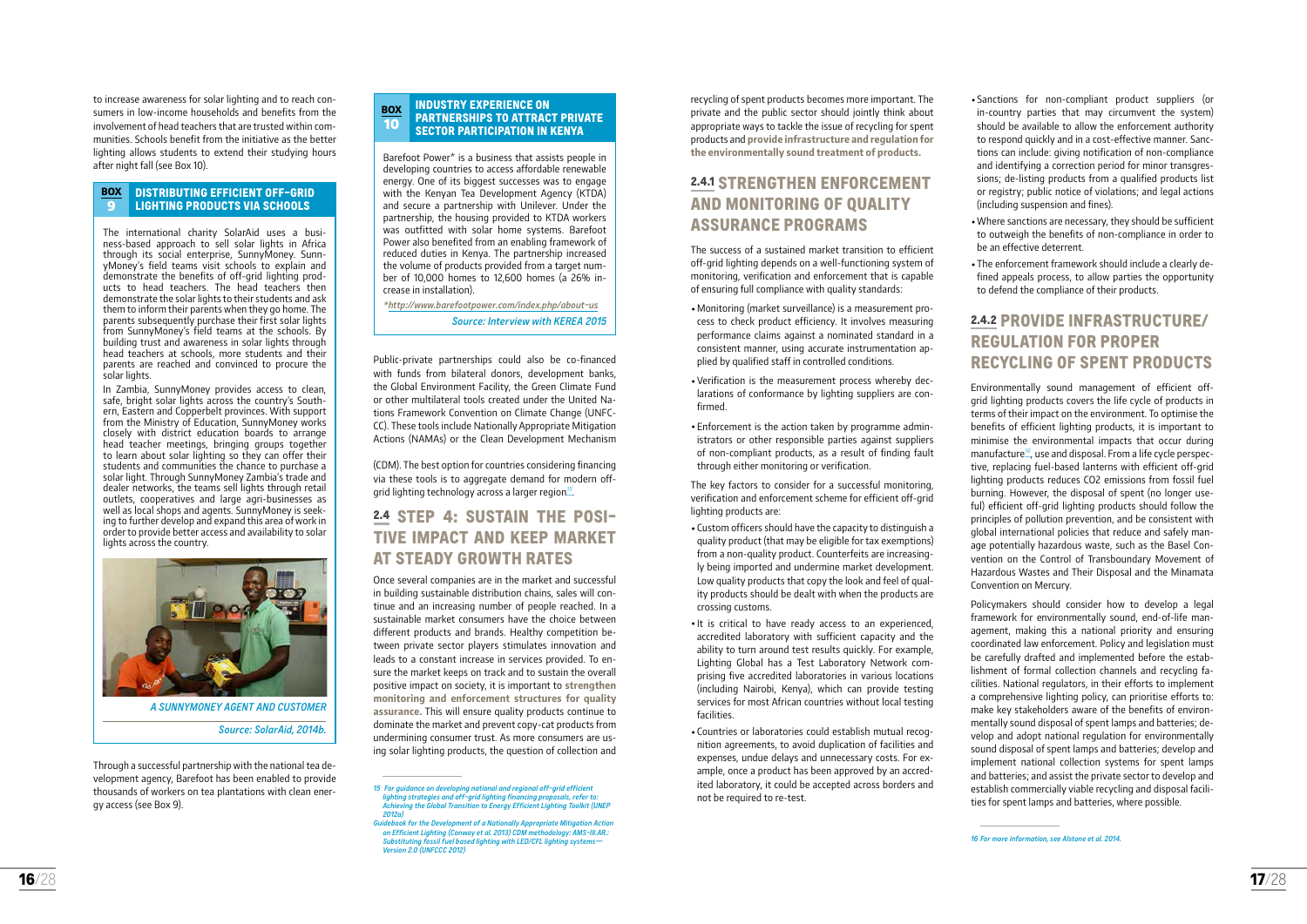recycling of spent products becomes more important. The private and the public sector should jointly think about appropriate ways to tackle the issue of recycling for spent products and **provide infrastructure and regulation for the environmentally sound treatment of products.**

### 2.4.1 Strengthen enforcement and monitoring of quality assurance programs

The success of a sustained market transition to efficient off-grid lighting depends on a well-functioning system of monitoring, verification and enforcement that is capable of ensuring full compliance with quality standards:

- • Monitoring (market surveillance) is a measurement process to check product efficiency. It involves measuring performance claims against a nominated standard in a consistent manner, using accurate instrumentation applied by qualified staff in controlled conditions.
- • Verification is the measurement process whereby declarations of conformance by lighting suppliers are confirmed.
- Enforcement is the action taken by programme administrators or other responsible parties against suppliers of non-compliant products, as a result of finding fault through either monitoring or verification.

The key factors to consider for a successful monitoring, verification and enforcement scheme for efficient off-grid lighting products are:

• The enforcement framework should include a clearly defined appeals process, to allow parties the opportunity to defend the compliance of their products.

- • Custom officers should have the capacity to distinguish a quality product (that may be eligible for tax exemptions) from a non-quality product. Counterfeits are increasingly being imported and undermine market development. Low quality products that copy the look and feel of quality products should be dealt with when the products are crossing customs.
- It is critical to have ready access to an experienced, accredited laboratory with sufficient capacity and the ability to turn around test results quickly. For example, Lighting Global has a Test Laboratory Network comprising five accredited laboratories in various locations (including Nairobi, Kenya), which can provide testing services for most African countries without local testing facilities.
- • Countries or laboratories could establish mutual recognition agreements, to avoid duplication of facilities and expenses, undue delays and unnecessary costs. For example, once a product has been approved by an accredited laboratory, it could be accepted across borders and not be required to re-test.

• Sanctions for non-compliant product suppliers (or in-country parties that may circumvent the system) should be available to allow the enforcement authority to respond quickly and in a cost-effective manner. Sanctions can include: giving notification of non-compliance and identifying a correction period for minor transgressions; de-listing products from a qualified products list or registry; public notice of violations; and legal actions (including suspension and fines).

• Where sanctions are necessary, they should be sufficient to outweigh the benefits of non-compliance in order to be an effective deterrent.

### 2.4.2 Provide infrastructure/ regulation for proper recycling of spent products

Environmentally sound management of efficient offgrid lighting products covers the life cycle of products in terms of their impact on the environment. To optimise the benefits of efficient lighting products, it is important to minimise the environmental impacts that occur during manufacture*16*, use and disposal. From a life cycle perspective, replacing fuel-based lanterns with efficient off-grid lighting products reduces CO2 emissions from fossil fuel burning. However, the disposal of spent (no longer useful) efficient off-grid lighting products should follow the principles of pollution prevention, and be consistent with global international policies that reduce and safely manage potentially hazardous waste, such as the Basel Convention on the Control of Transboundary Movement of Hazardous Wastes and Their Disposal and the Minamata Convention on Mercury.

Policymakers should consider how to develop a legal framework for environmentally sound, end-of-life management, making this a national priority and ensuring coordinated law enforcement. Policy and legislation must be carefully drafted and implemented before the establishment of formal collection channels and recycling facilities. National regulators, in their efforts to implement a comprehensive lighting policy, can prioritise efforts to: make key stakeholders aware of the benefits of environmentally sound disposal of spent lamps and batteries; develop and adopt national regulation for environmentally sound disposal of spent lamps and batteries; develop and implement national collection systems for spent lamps and batteries; and assist the private sector to develop and establish commercially viable recycling and disposal facilities for spent lamps and batteries, where possible.

to increase awareness for solar lighting and to reach consumers in low-income households and benefits from the involvement of head teachers that are trusted within communities. Schools benefit from the initiative as the better lighting allows students to extend their studying hours after night fall (see Box 10).

#### **Box** Distributing efficient off-grid 9 lighting products via schools

The international charity SolarAid uses a business-based approach to sell solar lights in Africa through its social enterprise, SunnyMoney. SunnyMoney's field teams visit schools to explain and demonstrate the benefits of off-grid lighting products to head teachers. The head teachers then demonstrate the solar lights to their students and ask them to inform their parents when they go home. The parents subsequently purchase their first solar lights from SunnyMoney's field teams at the schools. By building trust and awareness in solar lights through head teachers at schools, more students and their parents are reached and convinced to procure the solar lights.

In Zambia, SunnyMoney provides access to clean, safe, bright solar lights across the country's Southern, Eastern and Copperbelt provinces. With support from the Ministry of Education, SunnyMoney works closely with district education boards to arrange head teacher meetings, bringing groups together to learn about solar lighting so they can offer their students and communities the chance to purchase a solar light. Through SunnyMoney Zambia's trade and dealer networks, the teams sell lights through retail outlets, cooperatives and large agri-businesses as well as local shops and agents. SunnyMoney is seeking to further develop and expand this area of work in order to provide better access and availability to solar lights across the country.



*A SUNNYMONEY AGENT AND CUSTOMER Source: SolarAid, 2014b.* 

Through a successful partnership with the national tea development agency, Barefoot has been enabled to provide thousands of workers on tea plantations with clean energy access (see Box 9).

#### **Box** 10 Industry experience on partnerships to attract private sector participation in Kenya

*<sup>16</sup> For more information, see Alstone et al. 2014.*



Barefoot Power\* is a business that assists people in developing countries to access affordable renewable energy. One of its biggest successes was to engage with the Kenyan Tea Development Agency (KTDA) and secure a partnership with Unilever. Under the partnership, the housing provided to KTDA workers was outfitted with solar home systems. Barefoot Power also benefited from an enabling framework of reduced duties in Kenya. The partnership increased the volume of products provided from a target number of 10,000 homes to 12,600 homes (a 26% increase in installation).

*\*http://www.barefootpower.com/index.php/about-us Source: Interview with KEREA 2015*

Public-private partnerships could also be co-financed with funds from bilateral donors, development banks, the Global Environment Facility, the Green Climate Fund or other multilateral tools created under the United Nations Framework Convention on Climate Change (UNFC-CC). These tools include Nationally Appropriate Mitigation Actions (NAMAs) or the Clean Development Mechanism

(CDM). The best option for countries considering financing via these tools is to aggregate demand for modern offgrid lighting technology across a larger region*<sup>15</sup>*.

### 2.4 Step 4: Sustain the positive impact and keep market at steady growth rates

Once several companies are in the market and successful in building sustainable distribution chains, sales will continue and an increasing number of people reached. In a sustainable market consumers have the choice between different products and brands. Healthy competition between private sector players stimulates innovation and leads to a constant increase in services provided. To ensure the market keeps on track and to sustain the overall positive impact on society, it is important to **strengthen monitoring and enforcement structures for quality assurance.** This will ensure quality products continue to dominate the market and prevent copy-cat products from undermining consumer trust. As more consumers are using solar lighting products, the question of collection and

*<sup>15</sup> For guidance on developing national and regional off-grid efficient lighting strategies and off-grid lighting financing proposals, refer to: Achieving the Global Transition to Energy Efficient Lighting Toolkit (UNEP 2012a)*

*Guidebook for the Development of a Nationally Appropriate Mitigation Action on Efficient Lighting (Conway et al. 2013) CDM methodology: AMS-III.AR.: Substituting fossil fuel based lighting with LED/CFL lighting systems— Version 2.0 (UNFCCC 2012)*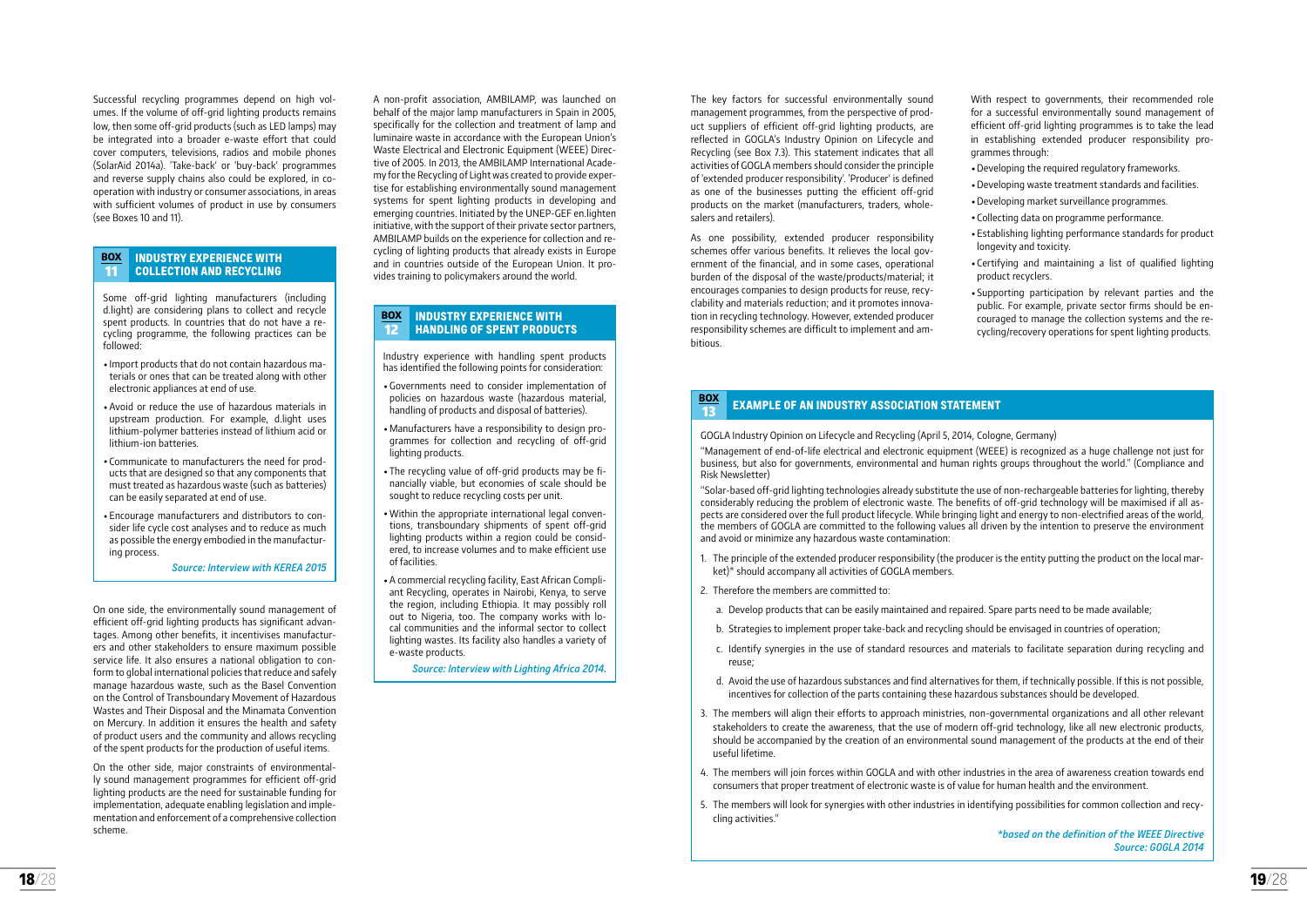The key factors for successful environmentally sound management programmes, from the perspective of product suppliers of efficient off-grid lighting products, are reflected in GOGLA's Industry Opinion on Lifecycle and Recycling (see Box 7.3). This statement indicates that all activities of GOGLA members should consider the principle of 'extended producer responsibility'. 'Producer' is defined as one of the businesses putting the efficient off-grid products on the market (manufacturers, traders, wholesalers and retailers).

As one possibility, extended producer responsibility schemes offer various benefits. It relieves the local government of the financial, and in some cases, operational burden of the disposal of the waste/products/material; it encourages companies to design products for reuse, recyclability and materials reduction; and it promotes innovation in recycling technology. However, extended producer responsibility schemes are difficult to implement and ambitious.

### $\frac{13}{13}$  example of an industry association statement

- With respect to governments, their recommended role for a successful environmentally sound management of efficient off-grid lighting programmes is to take the lead in establishing extended producer responsibility programmes through:
- Developing the required regulatory frameworks.
- Developing waste treatment standards and facilities.
- Developing market surveillance programmes.
- • Collecting data on programme performance.
- Establishing lighting performance standards for product longevity and toxicity.
- • Certifying and maintaining a list of qualified lighting product recyclers.
- • Supporting participation by relevant parties and the public. For example, private sector firms should be encouraged to manage the collection systems and the recycling/recovery operations for spent lighting products.

Successful recycling programmes depend on high volumes. If the volume of off-grid lighting products remains low, then some off-grid products (such as LED lamps) may be integrated into a broader e-waste effort that could cover computers, televisions, radios and mobile phones (SolarAid 2014a). 'Take-back' or 'buy-back' programmes and reverse supply chains also could be explored, in cooperation with industry or consumer associations, in areas with sufficient volumes of product in use by consumers (see Boxes 10 and 11).

#### **Box** Industry experience with 11 collection and recycling

Some off-grid lighting manufacturers (including d.light) are considering plans to collect and recycle spent products. In countries that do not have a recycling programme, the following practices can be followed:

- • Import products that do not contain hazardous materials or ones that can be treated along with other electronic appliances at end of use.
- Avoid or reduce the use of hazardous materials in upstream production. For example, d.light uses lithium-polymer batteries instead of lithium acid or lithium-ion batteries.
- • Communicate to manufacturers the need for products that are designed so that any components that must treated as hazardous waste (such as batteries) can be easily separated at end of use.
- Encourage manufacturers and distributors to consider life cycle cost analyses and to reduce as much as possible the energy embodied in the manufacturing process.

 *Source: Interview with KEREA 2015*

On one side, the environmentally sound management of efficient off-grid lighting products has significant advantages. Among other benefits, it incentivises manufacturers and other stakeholders to ensure maximum possible service life. It also ensures a national obligation to conform to global international policies that reduce and safely manage hazardous waste, such as the Basel Convention on the Control of Transboundary Movement of Hazardous Wastes and Their Disposal and the Minamata Convention on Mercury. In addition it ensures the health and safety of product users and the community and allows recycling of the spent products for the production of useful items.

On the other side, major constraints of environmentally sound management programmes for efficient off-grid lighting products are the need for sustainable funding for implementation, adequate enabling legislation and implementation and enforcement of a comprehensive collection scheme.

A non-profit association, AMBILAMP, was launched on behalf of the major lamp manufacturers in Spain in 2005, specifically for the collection and treatment of lamp and luminaire waste in accordance with the European Union's Waste Electrical and Electronic Equipment (WEEE) Directive of 2005. In 2013, the AMBILAMP International Academy for the Recycling of Light was created to provide expertise for establishing environmentally sound management systems for spent lighting products in developing and emerging countries. Initiated by the UNEP-GEF en.lighten initiative, with the support of their private sector partners, AMBILAMP builds on the experience for collection and recycling of lighting products that already exists in Europe and in countries outside of the European Union. It provides training to policymakers around the world.

#### **Box** 12 Industry experience with handling of spent products

Industry experience with handling spent products has identified the following points for consideration:

- • Governments need to consider implementation of policies on hazardous waste (hazardous material, handling of products and disposal of batteries).
- • Manufacturers have a responsibility to design programmes for collection and recycling of off-grid lighting products.
- The recycling value of off-grid products may be financially viable, but economies of scale should be sought to reduce recycling costs per unit.
- • Within the appropriate international legal conventions, transboundary shipments of spent off-grid lighting products within a region could be considered, to increase volumes and to make efficient use of facilities.
- • A commercial recycling facility, East African Compliant Recycling, operates in Nairobi, Kenya, to serve the region, including Ethiopia. It may possibly roll out to Nigeria, too. The company works with local communities and the informal sector to collect lighting wastes. Its facility also handles a variety of e-waste products.

*Source: Interview with Lighting Africa 2014.*

**Box**

GOGLA Industry Opinion on Lifecycle and Recycling (April 5, 2014, Cologne, Germany) "Management of end-of-life electrical and electronic equipment (WEEE) is recognized as a huge challenge not just for business, but also for governments, environmental and human rights groups throughout the world." (Compliance and Risk Newsletter)

"Solar-based off-grid lighting technologies already substitute the use of non-rechargeable batteries for lighting, thereby considerably reducing the problem of electronic waste. The benefits of off-grid technology will be maximised if all aspects are considered over the full product lifecycle. While bringing light and energy to non-electrified areas of the world, the members of GOGLA are committed to the following values all driven by the intention to preserve the environment and avoid or minimize any hazardous waste contamination:

- 1. The principle of the extended producer responsibility (the producer is the entity putting the product on the local market)\* should accompany all activities of GOGLA members.
- 2. Therefore the members are committed to:

- a. Develop products that can be easily maintained and repaired. Spare parts need to be made available;
- b. Strategies to implement proper take-back and recycling should be envisaged in countries of operation;
- c. Identify synergies in the use of standard resources and materials to facilitate separation during recycling and reuse;
- d. Avoid the use of hazardous substances and find alternatives for them, if technically possible. If this is not possible, incentives for collection of the parts containing these hazardous substances should be developed.
- 3. The members will align their efforts to approach ministries, non-governmental organizations and all other relevant stakeholders to create the awareness, that the use of modern off-grid technology, like all new electronic products, should be accompanied by the creation of an environmental sound management of the products at the end of their useful lifetime.
- 4. The members will join forces within GOGLA and with other industries in the area of awareness creation towards end consumers that proper treatment of electronic waste is of value for human health and the environment.
- 5. The members will look for synergies with other industries in identifying possibilities for common collection and recycling activities."

*\*based on the definition of the WEEE Directive Source: GOGLA 2014*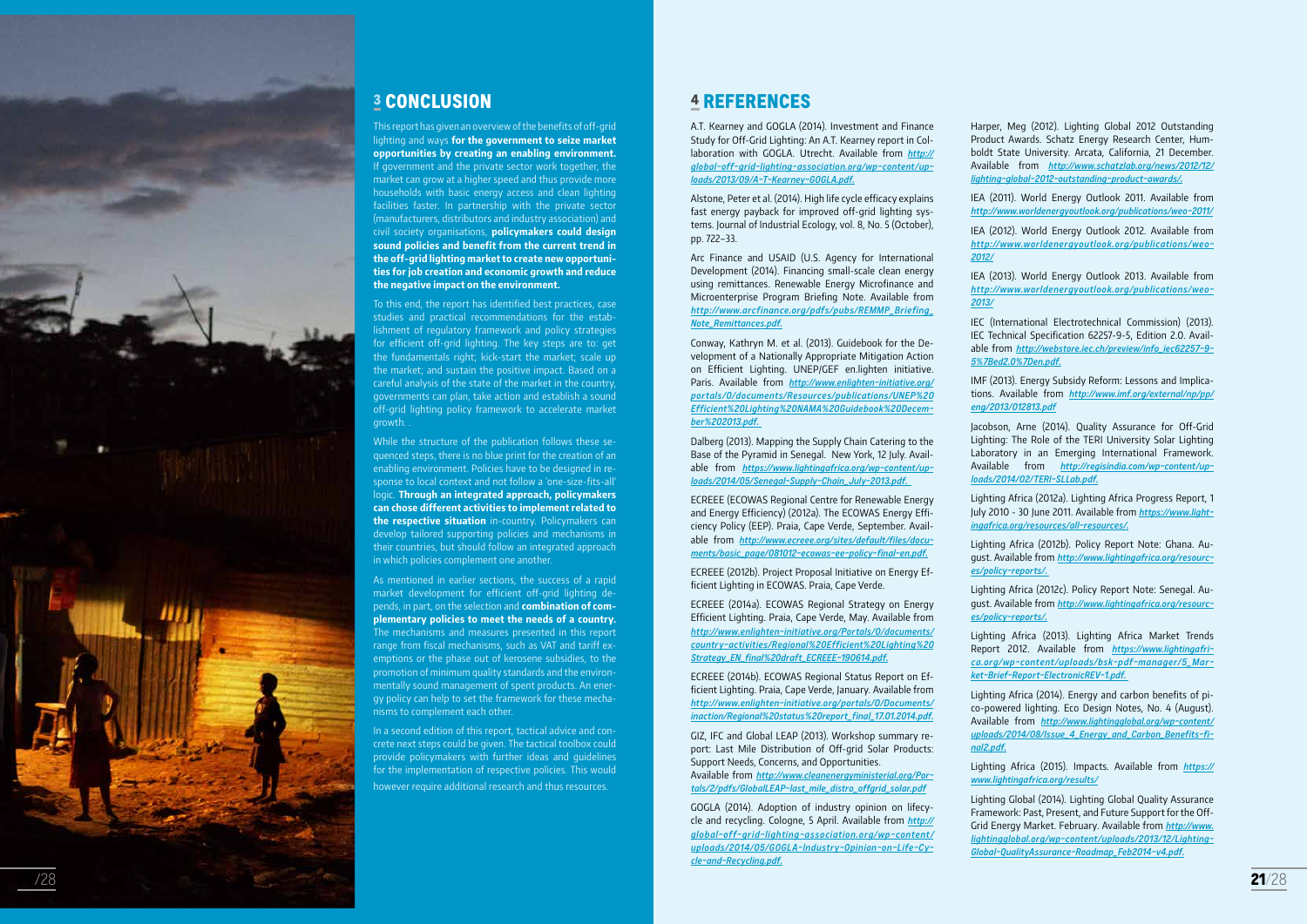To this end, the report has identified best practices, case studies and practical recommendations for the estab lishment of regulatory framework and policy strategies for efficient off-grid lighting. The key steps are to: get the fundamentals right; kick-start the market; scale up the market; and sustain the positive impact. Based on a careful analysis of the state of the market in the country, governments can plan, take action and establish a sound off-grid lighting policy framework to accelerate market arowth.

This report has given an overview of the benefits of off-grid lighting and ways **for the government to seize market opportunities by creating an enabling environment.**  If government and the private sector work together, the market can grow at a higher speed and thus provide more households with basic energy access and clean lighting facilities faster. In partnership with the private sector (manufacturers, distributors and industry association) and civil society organisations, **policymakers could design sound policies and benefit from the current trend in the off-grid lighting market to create new opportuni ties for job creation and economic growth and reduce the negative impact on the environment.**

While the structure of the publication follows these se quenced steps, there is no blue print for the creation of an enabling environment. Policies have to be designed in re sponse to local context and not follow a 'one-size-fits-all' logic. **Through an integrated approach, policymakers can chose different activities to implement related to the respective situation** in-country. Policymakers can develop tailored supporting policies and mechanisms in their countries, but should follow an integrated approach in which policies complement one another.

As mentioned in earlier sections, the success of a rapid market development for efficient off-grid lighting de pends, in part, on the selection and **combination of com plementary policies to meet the needs of a country.**  The mechanisms and measures presented in this report range from fiscal mechanisms, such as VAT and tariff ex emptions or the phase out of kerosene subsidies, to the promotion of minimum quality standards and the environ mentally sound management of spent products. An ener gy policy can help to set the framework for these mecha nisms to complement each other.

In a second edition of this report, tactical advice and con crete next steps could be given. The tactical toolbox could provide policymakers with further ideas and guidelines for the implementation of respective policies. This would however require additional research and thus resources.

## 4 References

A.T. Kearney and GOGLA (2014). Investment and Finance Study for Off-Grid Lighting: An A.T. Kearney report in Col laboration with GOGLA. Utrecht. Available from *http:// global-off-grid-lighting-association.org/wp-content/up loads/2013/09/A-T-Kearney-GOGLA.pdf.*

Alstone, Peter et al. (2014). High life cycle efficacy explains fast energy payback for improved off-grid lighting sys tems. Journal of Industrial Ecology, vol. 8, No. 5 (October), pp. 722–33.

Arc Finance and USAID (U.S. Agency for International Development (2014). Financing small-scale clean energy using remittances. Renewable Energy Microfinance and Microenterprise Program Briefing Note. Available from *http://www.arcfinance.org/pdfs/pubs/REMMP\_Briefing\_ Note\_Remittances.pdf.*

Conway, Kathryn M. et al. (2013). Guidebook for the De velopment of a Nationally Appropriate Mitigation Action on Efficient Lighting. UNEP/GEF en.lighten initiative. Paris. Available from *http://www.enlighten-initiative.org/ portals/0/documents/Resources/publications/UNEP%20 Efficient%20Lighting%20NAMA%20Guidebook%20Decem ber%202013.pdf.* 

Dalberg (2013). Mapping the Supply Chain Catering to the Base of the Pyramid in Senegal. New York, 12 July. Avail able from *https://www.lightingafrica.org/wp-content/up loads/2014/05/Senegal-Supply-Chain\_July-2013.pdf.* 

ECREEE (ECOWAS Regional Centre for Renewable Energy and Energy Efficiency) (2012a). The ECOWAS Energy Effi ciency Policy (EEP). Praia, Cape Verde, September. Avail able from *http://www.ecreee.org/sites/default/files/docu ments/basic\_page/081012-ecowas-ee-policy-final-en.pdf.*

ECREEE (2012b). Project Proposal Initiative on Energy Ef ficient Lighting in ECOWAS. Praia, Cape Verde.

ECREEE (2014a). ECOWAS Regional Strategy on Energy Efficient Lighting. Praia, Cape Verde, May. Available from *http://www.enlighten-initiative.org/Portals/0/documents/ country-activities/Regional%20Efficient%20Lighting%20 Strategy\_EN\_final%20draft\_ECREEE-190614.pdf.*

ECREEE (2014b). ECOWAS Regional Status Report on Ef ficient Lighting. Praia, Cape Verde, January. Available from *http://www.enlighten-initiative.org/portals/0/Documents/ inaction/Regional%20status%20report\_final\_17.01.2014.pdf.*

GIZ, IFC and Global LEAP (2013). Workshop summary re port: Last Mile Distribution of Off-grid Solar Products: Support Needs, Concerns, and Opportunities.

Available from *http://www.cleanenergyministerial.org/Por tals/2/pdfs/GlobalLEAP-last\_mile\_distro\_offgrid\_solar.pdf*

GOGLA (2014). Adoption of industry opinion on lifecy cle and recycling. Cologne, 5 April. Available from *http:// global-off-grid-lighting-association.org/wp-content/ uploads/2014/05/GOGLA-Industry-Opinion-on-Life-Cy cle-and-Recycling.pdf.*

Harper, Meg (2012). Lighting Global 2012 Outstanding Product Awards. Schatz Energy Research Center, Hum boldt State University. Arcata, California, 21 December. Available from *http://www.schatzlab.org/news/2012/12/ lighting-global-2012-outstanding-product-awards/.*

IEA (2011). World Energy Outlook 2011. Available from *http://www.worldenergyoutlook.org/publications/weo-2011/*

IEA (2012). World Energy Outlook 2012. Available from *http://www.worldenergyoutlook.org/publications/weo-*

*2012/ 2013/*

IEA (2013). World Energy Outlook 2013. Available from *http://www.worldenergyoutlook.org/publications/weo-*

IEC (International Electrotechnical Commission) (2013). IEC Technical Specification 62257-9-5, Edition 2.0. Avail able from *http://webstore.iec.ch/preview/info\_iec62257-9- 5%7Bed2.0%7Den.pdf.*

IMF (2013). Energy Subsidy Reform: Lessons and Implica tions. Available from *http://www.imf.org/external/np/pp/ eng/2013/012813.pdf*

Jacobson, Arne (2014). Quality Assurance for Off-Grid Lighting: The Role of the TERI University Solar Lighting Laboratory in an Emerging International Framework. Available from *http://regisindia.com/wp-content/up loads/2014/02/TERI-SLLab.pdf.*

Lighting Africa (2012a). Lighting Africa Progress Report, 1 July 2010 - 30 June 2011. Available from *https://www.light ingafrica.org/resources/all-resources/.*

Lighting Africa (2012b). Policy Report Note: Ghana. Au gust. Available from *http://www.lightingafrica.org/resourc es/policy-reports/.* 

Lighting Africa (2012c). Policy Report Note: Senegal. Au gust. Available from *http://www.lightingafrica.org/resourc es/policy-reports/.*

Lighting Africa (2013). Lighting Africa Market Trends Report 2012. Available from *https://www.lightingafri ca.org/wp-content/uploads/bsk-pdf-manager/5\_Mar ket-Brief-Report-ElectronicREV-1.pdf.* 

Lighting Africa (2014). Energy and carbon benefits of pi co-powered lighting. Eco Design Notes, No. 4 (August). Available from *http://www.lightingglobal.org/wp-content/ uploads/2014/08/Issue\_4\_Energy\_and\_Carbon\_Benefits-fi nal2.pdf.*

Lighting Africa (2015). Impacts. Available from *https:// www.lightingafrica.org/results/*

Lighting Global (2014). Lighting Global Quality Assurance Framework: Past, Present, and Future Support for the Off-Grid Energy Market. February. Available from *http://www. lightingglobal.org/wp-content/uploads/2013/12/Lighting - Global-QualityAssurance-Roadmap\_Feb2014-v4.pdf.*



### **3 CONCLUSION**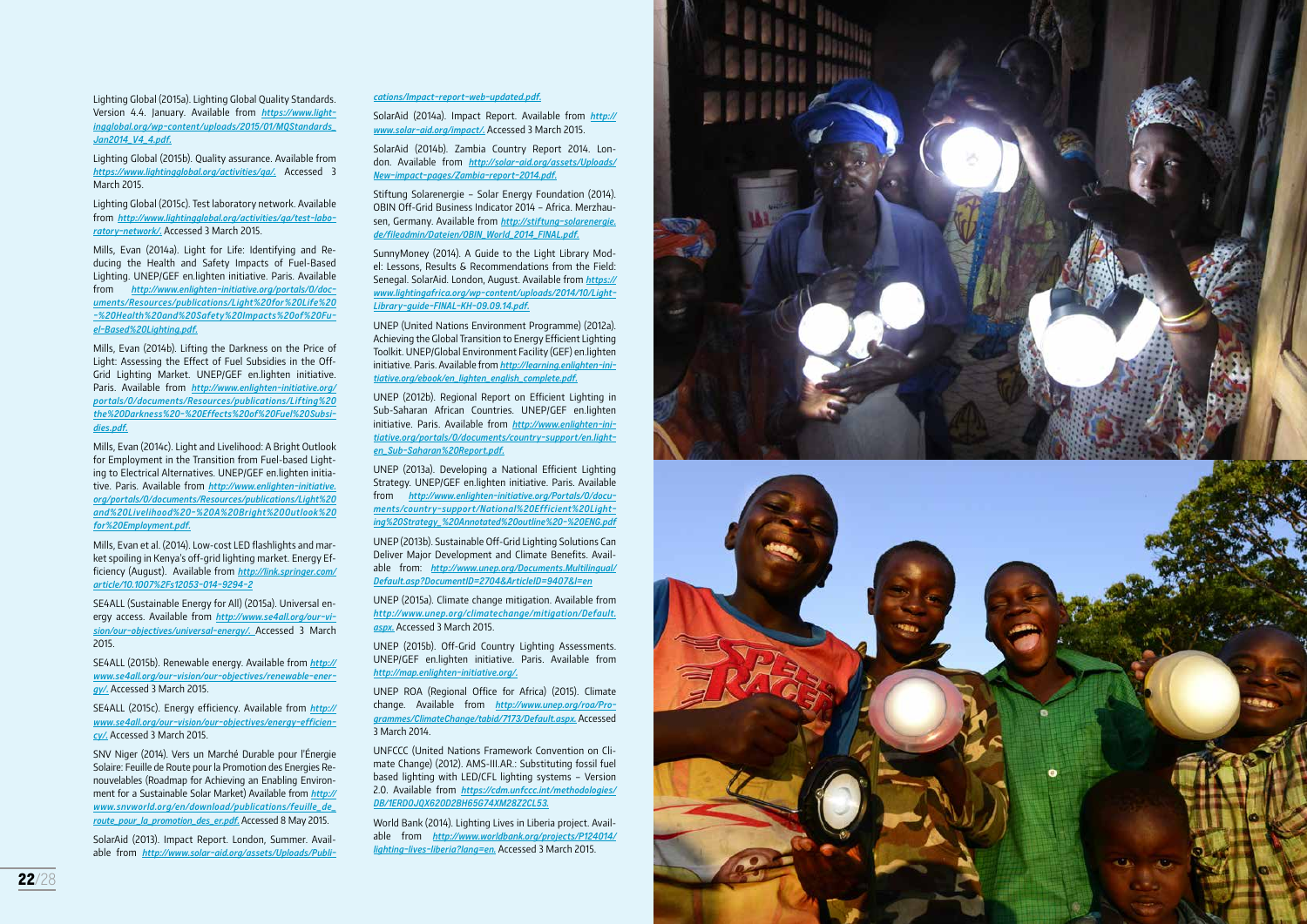Lighting Global (2015a). Lighting Global Quality Standards. Version 4.4. January. Available from *https://www.lightingglobal.org/wp-content/uploads/2015/01/MQStandards\_ Jan2014\_V4\_4.pdf.*

Lighting Global (2015b). Quality assurance. Available from *https://www.lightingglobal.org/activities/qa/.* Accessed 3 March 2015.

Lighting Global (2015c). Test laboratory network. Available from *http://www.lightingglobal.org/activities/qa/test-laboratory-network/.* Accessed 3 March 2015.

Mills, Evan (2014a). Light for Life: Identifying and Reducing the Health and Safety Impacts of Fuel-Based Lighting. UNEP/GEF en.lighten initiative. Paris. Available from *http://www.enlighten-initiative.org/portals/0/documents/Resources/publications/Light%20for%20Life%20 -%20Health%20and%20Safety%20Impacts%20of%20Fuel-Based%20Lighting.pdf.*

Mills, Evan (2014b). Lifting the Darkness on the Price of Light: Assessing the Effect of Fuel Subsidies in the Off-Grid Lighting Market. UNEP/GEF en.lighten initiative. Paris. Available from *http://www.enlighten-initiative.org/ portals/0/documents/Resources/publications/Lifting%20 the%20Darkness%20-%20Effects%20of%20Fuel%20Subsidies.pdf.*

Mills, Evan (2014c). Light and Livelihood: A Bright Outlook for Employment in the Transition from Fuel-based Lighting to Electrical Alternatives. UNEP/GEF en.lighten initiative. Paris. Available from *http://www.enlighten-initiative. org/portals/0/documents/Resources/publications/Light%20 and%20Livelihood%20-%20A%20Bright%20Outlook%20 for%20Employment.pdf.*

Mills, Evan et al. (2014). Low-cost LED flashlights and market spoiling in Kenya's off-grid lighting market. Energy Efficiency (August). Available from *http://link.springer.com/ article/10.1007%2Fs12053-014-9294-2*

SE4ALL (Sustainable Energy for All) (2015a). Universal energy access. Available from *http://www.se4all.org/our-vision/our-objectives/universal-energy/.* Accessed 3 March 2015.

SE4ALL (2015b). Renewable energy. Available from *http:// www.se4all.org/our-vision/our-objectives/renewable-energy/.* Accessed 3 March 2015.

SE4ALL (2015c). Energy efficiency. Available from *http:// www.se4all.org/our-vision/our-objectives/energy-efficiency/.* Accessed 3 March 2015.

SNV Niger (2014). Vers un Marché Durable pour l'Énergie Solaire: Feuille de Route pour la Promotion des Energies Renouvelables (Roadmap for Achieving an Enabling Environment for a Sustainable Solar Market) Available from *http:// www.snvworld.org/en/download/publications/feuille\_de\_ route\_pour\_la\_promotion\_des\_er.pdf.* Accessed 8 May 2015.

SolarAid (2013). Impact Report. London, Summer. Available from *http://www.solar-aid.org/assets/Uploads/Publi-*

#### *cations/Impact-report-web-updated.pdf.*

SolarAid (2014a). Impact Report. Available from *http:// www.solar-aid.org/impact/.* Accessed 3 March 2015.

SolarAid (2014b). Zambia Country Report 2014. London. Available from *http://solar-aid.org/assets/Uploads/ New-impact-pages/Zambia-report-2014.pdf.*

Stiftung Solarenergie – Solar Energy Foundation (2014). OBIN Off-Grid Business Indicator 2014 – Africa. Merzhausen, Germany. Available from *http://stiftung-solarenergie. de/fileadmin/Dateien/OBIN\_World\_2014\_FINAL.pdf.*

SunnyMoney (2014). A Guide to the Light Library Model: Lessons, Results & Recommendations from the Field: Senegal. SolarAid. London, August. Available from *https:// www.lightingafrica.org/wp-content/uploads/2014/10/Light-Library-guide-FINAL-KH-09.09.14.pdf.*

UNEP (United Nations Environment Programme) (2012a). Achieving the Global Transition to Energy Efficient Lighting Toolkit. UNEP/Global Environment Facility (GEF) en.lighten initiative. Paris. Available from *http://learning.enlighten-initiative.org/ebook/en\_lighten\_english\_complete.pdf.*

UNEP (2012b). Regional Report on Efficient Lighting in Sub-Saharan African Countries. UNEP/GEF en.lighten initiative. Paris. Available from *http://www.enlighten-initiative.org/portals/0/documents/country-support/en.lighten\_Sub-Saharan%20Report.pdf.*

UNEP (2013a). Developing a National Efficient Lighting Strategy. UNEP/GEF en.lighten initiative. Paris. Available from *http://www.enlighten-initiative.org/Portals/0/documents/country-support/National%20Efficient%20Lighting%20Strategy\_%20Annotated%20outline%20-%20ENG.pdf*

UNEP (2013b). Sustainable Off-Grid Lighting Solutions Can Deliver Major Development and Climate Benefits. Available from: *http://www.unep.org/Documents.Multilingual/ Default.asp?DocumentID=2704&ArticleID=9407&l=en*

UNEP (2015a). Climate change mitigation. Available from *http://www.unep.org/climatechange/mitigation/Default. aspx.* Accessed 3 March 2015.

UNEP (2015b). Off-Grid Country Lighting Assessments. UNEP/GEF en.lighten initiative. Paris. Available from *http://map.enlighten-initiative.org/.*

UNEP ROA (Regional Office for Africa) (2015). Climate change. Available from *http://www.unep.org/roa/Programmes/ClimateChange/tabid/7173/Default.aspx.* Accessed 3 March 2014.

UNFCCC (United Nations Framework Convention on Climate Change) (2012). AMS-III.AR.: Substituting fossil fuel based lighting with LED/CFL lighting systems – Version 2.0. Available from *https://cdm.unfccc.int/methodologies/ DB/1ERDOJQX62OD2BH65G74XM28Z2CL53.*

World Bank (2014). Lighting Lives in Liberia project. Available from *http://www.worldbank.org/projects/P124014/ lighting-lives-liberia?lang=en.* Accessed 3 March 2015.

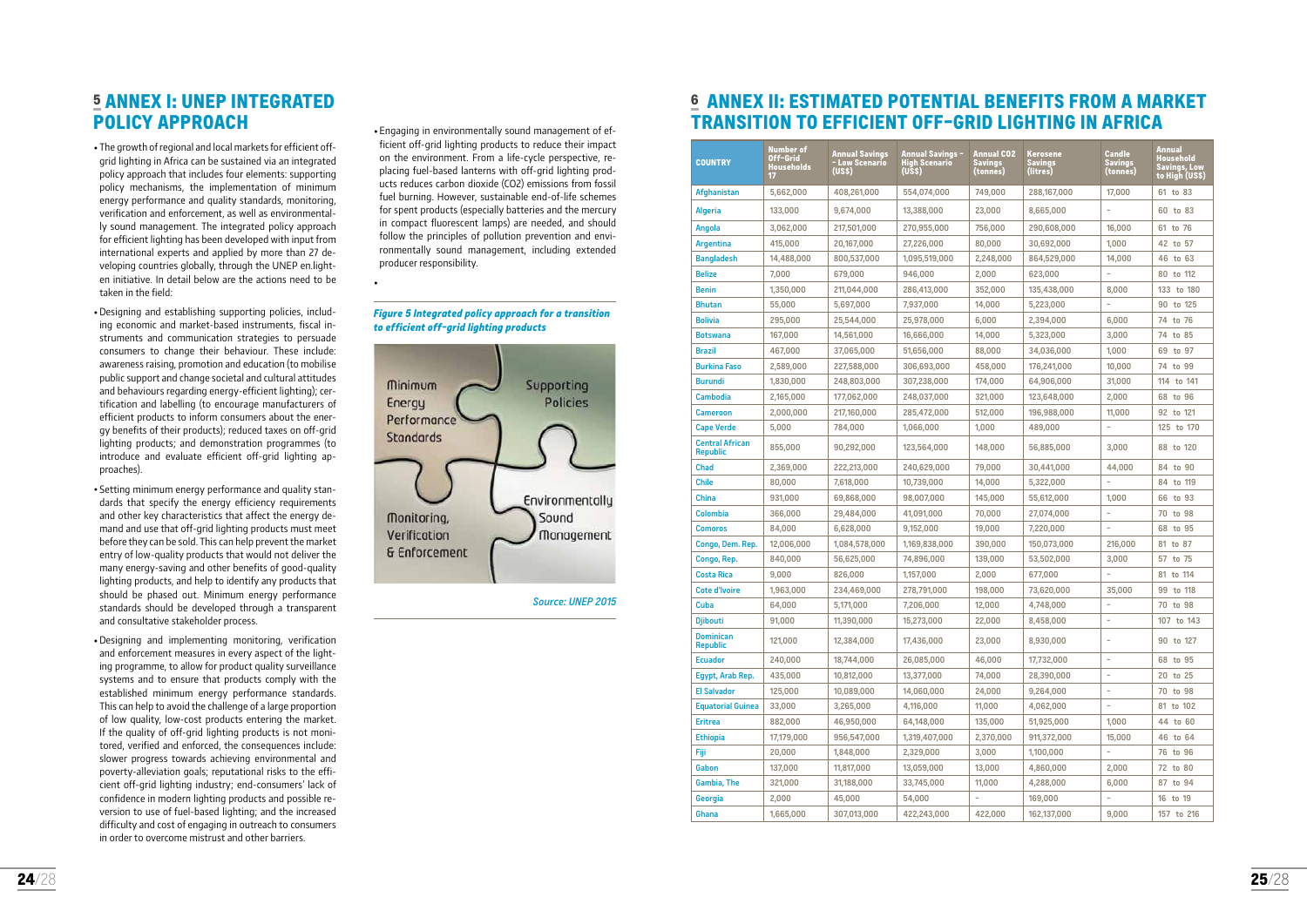### 5 Annex I: UNEP integrated policy approach

• The growth of regional and local markets for efficient offgrid lighting in Africa can be sustained via an integrated policy approach that includes four elements: supporting policy mechanisms, the implementation of minimum energy performance and quality standards, monitoring, verification and enforcement, as well as environmentally sound management. The integrated policy approach for efficient lighting has been developed with input from international experts and applied by more than 27 developing countries globally, through the UNEP en.lighten initiative. In detail below are the actions need to be taken in the field:

• Engaging in environmentally sound management of efficient off-grid lighting products to reduce their impact on the environment. From a life-cycle perspective, replacing fuel-based lanterns with off-grid lighting products reduces carbon dioxide (CO2) emissions from fossil fuel burning. However, sustainable end-of-life schemes for spent products (especially batteries and the mercury in compact fluorescent lamps) are needed, and should follow the principles of pollution prevention and environmentally sound management, including extended producer responsibility.

- • Designing and establishing supporting policies, including economic and market-based instruments, fiscal instruments and communication strategies to persuade consumers to change their behaviour. These include: awareness raising, promotion and education (to mobilise public support and change societal and cultural attitudes and behaviours regarding energy-efficient lighting); certification and labelling (to encourage manufacturers of efficient products to inform consumers about the energy benefits of their products); reduced taxes on off-grid lighting products; and demonstration programmes (to introduce and evaluate efficient off-grid lighting approaches).
- Setting minimum energy performance and quality standards that specify the energy efficiency requirements and other key characteristics that affect the energy demand and use that off-grid lighting products must meet before they can be sold. This can help prevent the market entry of low-quality products that would not deliver the many energy-saving and other benefits of good-quality lighting products, and help to identify any products that should be phased out. Minimum energy performance standards should be developed through a transparent and consultative stakeholder process.
- • Designing and implementing monitoring, verification and enforcement measures in every aspect of the lighting programme, to allow for product quality surveillance systems and to ensure that products comply with the established minimum energy performance standards. This can help to avoid the challenge of a large proportion of low quality, low-cost products entering the market. If the quality of off-grid lighting products is not monitored, verified and enforced, the consequences include: slower progress towards achieving environmental and poverty-alleviation goals; reputational risks to the efficient off-grid lighting industry; end-consumers' lack of confidence in modern lighting products and possible reversion to use of fuel-based lighting; and the increased difficulty and cost of engaging in outreach to consumers in order to overcome mistrust and other barriers.

• 



#### *Figure 5 Integrated policy approach for a transition to efficient off-grid lighting products*

#### *Source: UNEP 2015*

## 6 Annex II: Estimated potential benefits from a market transition to efficient off-grid lighting in Africa

| <b>COUNTRY</b>                            | Number of<br>Off-Grid<br><b>Households</b><br>17 | Annual Savings<br>- Low Scenario<br>(US\$) | Annual Savings -<br>High Scenario<br>(US\$) | Annual C <u>02</u><br><b>Savings</b><br>(tonnes) | Kerosene<br><b>Savings</b><br>(litres) | Candle<br>Savings<br>(tonnes) | Annual<br>Household<br>Savings, Low<br>to High (US\$) |
|-------------------------------------------|--------------------------------------------------|--------------------------------------------|---------------------------------------------|--------------------------------------------------|----------------------------------------|-------------------------------|-------------------------------------------------------|
| Afghanistan                               | 5,662,000                                        | 408,261,000                                | 554,074,000                                 | 749,000                                          | 288,167,000                            | 17,000                        | 61 to 83                                              |
| Algeria                                   | 133,000                                          | 9,674,000                                  | 13,388,000                                  | 23,000                                           | 8,665,000                              | $\overline{\phantom{a}}$      | 60 to 83                                              |
| <b>Angola</b>                             | 3,062,000                                        | 217,501,000                                | 270,955,000                                 | 756,000                                          | 290,608,000                            | 16,000                        | 61 to 76                                              |
| Argentina                                 | 415,000                                          | 20,167,000                                 | 27,226,000                                  | 80,000                                           | 30,692,000                             | 1,000                         | 42<br>to 57                                           |
| <b>Bangladesh</b>                         | 14,488,000                                       | 800,537,000                                | 1,095,519,000                               | 2,248,000                                        | 864,529,000                            | 14,000                        | 46 to 63                                              |
| <b>Belize</b>                             | 7,000                                            | 679,000                                    | 946,000                                     | 2,000                                            | 623,000                                |                               | 80 to 112                                             |
| <b>Benin</b>                              | 1,350,000                                        | 211,044,000                                | 286,413,000                                 | 352,000                                          | 135,438,000                            | 8,000                         | 133 to 180                                            |
| <b>Bhutan</b>                             | 55,000                                           | 5,697,000                                  | 7,937,000                                   | 14,000                                           | 5,223,000                              |                               | 90 to 125                                             |
| <b>Bolivia</b>                            | 295,000                                          | 25,544,000                                 | 25,978,000                                  | 6,000                                            | 2,394,000                              | 6,000                         | 74 to 76                                              |
| <b>Botswana</b>                           | 167,000                                          | 14,561,000                                 | 16,666,000                                  | 14,000                                           | 5,323,000                              | 3,000                         | 74 to 85                                              |
| <b>Brazil</b>                             | 467,000                                          | 37,065,000                                 | 51,656,000                                  | 88,000                                           | 34,036,000                             | 1,000                         | 69 to 97                                              |
| <b>Burkina Faso</b>                       | 2,589,000                                        | 227,588,000                                | 306,693,000                                 | 458,000                                          | 176,241,000                            | 10,000                        | 74 to 99                                              |
| <b>Burundi</b>                            | 1,830,000                                        | 248,803,000                                | 307,238,000                                 | 174,000                                          | 64,906,000                             | 31,000                        | 114 to 141                                            |
| <b>Cambodia</b>                           | 2,165,000                                        | 177,062,000                                | 248,037,000                                 | 321,000                                          | 123,648,000                            | 2,000                         | 68 to 96                                              |
| <b>Cameroon</b>                           | 2,000,000                                        | 217,160,000                                | 285,472,000                                 | 512,000                                          | 196,988,000                            | 11,000                        | 92 to 121                                             |
| <b>Cape Verde</b>                         | 5,000                                            | 784,000                                    | 1,066,000                                   | 1,000                                            | 489,000                                | $\bar{ }$                     | 125 to 170                                            |
| <b>Central African</b><br><b>Republic</b> | 855,000                                          | 90,292,000                                 | 123,564,000                                 | 148,000                                          | 56,885,000                             | 3,000                         | 88 to 120                                             |
| <b>Chad</b>                               | 2,369,000                                        | 222,213,000                                | 240,629,000                                 | 79,000                                           | 30,441,000                             | 44,000                        | 84 to 90                                              |
| <b>Chile</b>                              | 80,000                                           | 7,618,000                                  | 10,739,000                                  | 14,000                                           | 5,322,000                              |                               | 84<br>to 119                                          |
| China                                     | 931,000                                          | 69,868,000                                 | 98,007,000                                  | 145,000                                          | 55,612,000                             | 1,000                         | 66 to 93                                              |
| <b>Colombia</b>                           | 366,000                                          | 29,484,000                                 | 41,091,000                                  | 70,000                                           | 27,074,000                             | $\bar{ }$                     | 70 to 98                                              |
| <b>Comoros</b>                            | 84,000                                           | 6,628,000                                  | 9,152,000                                   | 19,000                                           | 7,220,000                              |                               | 68<br>to 95                                           |
| Congo, Dem. Rep.                          | 12,006,000                                       | 1,084,578,000                              | 1,169,838,000                               | 390,000                                          | 150,073,000                            | 216,000                       | 81 to 87                                              |
| Congo, Rep.                               | 840,000                                          | 56,625,000                                 | 74,896,000                                  | 139,000                                          | 53,502,000                             | 3,000                         | 57 to 75                                              |
| <b>Costa Rica</b>                         | 9,000                                            | 826,000                                    | 1,157,000                                   | 2,000                                            | 677,000                                |                               | 81 to 114                                             |
| <b>Cote d'Ivoire</b>                      | 1,963,000                                        | 234,469,000                                | 278,791,000                                 | 198,000                                          | 73,620,000                             | 35,000                        | 99 to 118                                             |
| Cuba                                      | 64,000                                           | 5,171,000                                  | 7,206,000                                   | 12,000                                           | 4,748,000                              | $\overline{\phantom{a}}$      | 70 to 98                                              |
| <b>Djibouti</b>                           | 91,000                                           | 11,390,000                                 | 15,273,000                                  | 22,000                                           | 8,458,000                              |                               | 107 to 143                                            |
| <b>Dominican</b><br><b>Republic</b>       | 121,000                                          | 12,384,000                                 | 17,436,000                                  | 23,000                                           | 8,930,000                              | ٠                             | 90 to 127                                             |
| <b>Ecuador</b>                            | 240,000                                          | 18,744,000                                 | 26,085,000                                  | 46,000                                           | 17,732,000                             |                               | 68 to 95                                              |
| Egypt, Arab Rep.                          | 435,000                                          | 10,812,000                                 | 13,377,000                                  | 74,000                                           | 28,390,000                             | $\overline{\phantom{a}}$      | 20 to 25                                              |
| <b>El Salvador</b>                        | 125,000                                          | 10,089,000                                 | 14,060,000                                  | 24,000                                           | 9,264,000                              | $\overline{\phantom{a}}$      | 70 to 98                                              |
| <b>Equatorial Guinea</b>                  | 33,000                                           | 3,265,000                                  | 4,116,000                                   | 11,000                                           | 4,062,000                              |                               | 81 to 102                                             |
| <b>Eritrea</b>                            | 882,000                                          | 46,950,000                                 | 64,148,000                                  | 135,000                                          | 51,925,000                             | 1,000                         | 44 to 60                                              |
| <b>Ethiopia</b>                           | 17,179,000                                       | 956,547,000                                | 1,319,407,000                               | 2,370,000                                        | 911,372,000                            | 15,000                        | 46 to 64                                              |
| Fiji                                      | 20,000                                           | 1,848,000                                  | 2,329,000                                   | 3,000                                            | 1,100,000                              |                               | 76 to 96                                              |
| Gabon                                     | 137,000                                          | 11,817,000                                 | 13,059,000                                  | 13,000                                           | 4,860,000                              | 2,000                         | 72 to 80                                              |
| <b>Gambia, The</b>                        | 321,000                                          | 31,188,000                                 | 33,745,000                                  | 11,000                                           | 4,288,000                              | 6,000                         | 87 to 94                                              |
| Georgia                                   | 2,000                                            | 45,000                                     | 54,000                                      |                                                  | 169,000                                |                               | 16 to 19                                              |
| Ghana                                     | 1,665,000                                        | 307,013,000                                | 422,243,000                                 | 422,000                                          | 162,137,000                            | 9,000                         | 157 to 216                                            |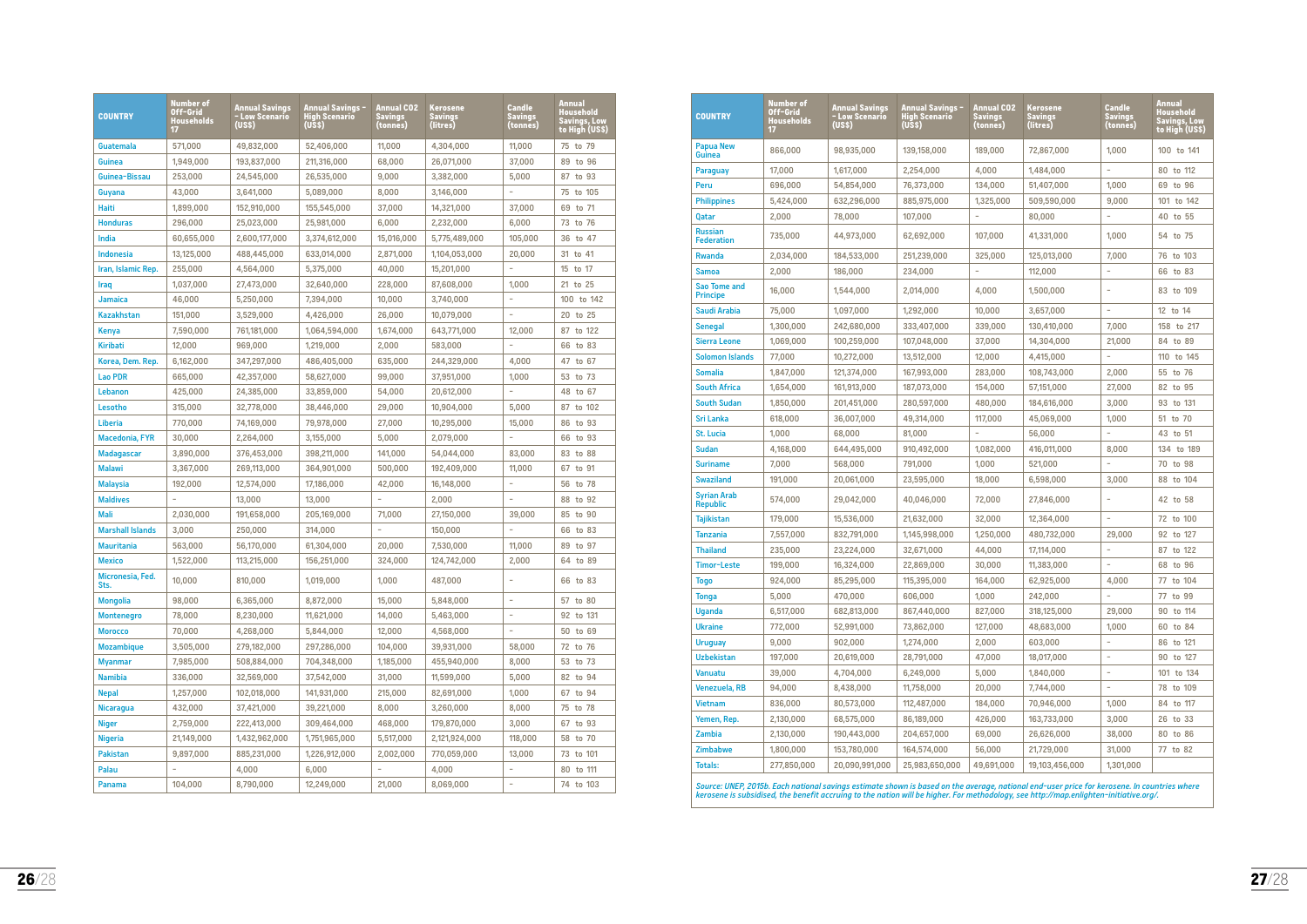| <b>COUNTRY</b>                                             | Number of<br>Off-Grid<br>Households<br>17 | <b>Annual Savings</b><br>- Low Scenario<br>(US\$) | Annual Savings –<br>High Scenario<br>(US\$) | <b>Annual CO2</b><br><b>Savings</b><br>(tonnes) | <b>Kerosene</b><br>Savings<br>(litres) | <b>Candle</b><br><b>Savings</b><br>(tonnes) | <b>Annual</b><br><b>Household</b><br><b>Savings, Low</b><br>to High (US\$) |
|------------------------------------------------------------|-------------------------------------------|---------------------------------------------------|---------------------------------------------|-------------------------------------------------|----------------------------------------|---------------------------------------------|----------------------------------------------------------------------------|
| Guatemala                                                  | 571,000                                   | 49,832,000                                        | 52,406,000                                  | 11,000                                          | 4,304,000                              | 11,000                                      | 75 to 79                                                                   |
| Guinea                                                     | 1,949,000                                 | 193,837,000                                       | 211,316,000                                 | 68,000                                          | 26,071,000                             | 37,000                                      | to 96<br>89                                                                |
| Guinea-Bissau                                              | 253,000                                   | 24,545,000                                        | 26,535,000                                  | 9,000                                           | 3,382,000                              | 5,000                                       | to 93<br>87                                                                |
| Guyana                                                     | 43,000                                    | 3,641,000                                         | 5,089,000                                   | 8,000                                           | 3,146,000                              | $\overline{\phantom{a}}$                    | 75 to 105                                                                  |
| Haiti                                                      | 1,899,000                                 | 152,910,000                                       | 155,545,000                                 | 37,000                                          | 14,321,000                             | 37,000                                      | 69 to 71                                                                   |
| <b>Honduras</b>                                            | 296,000                                   | 25,023,000                                        | 25,981,000                                  | 6,000                                           | 2,232,000                              | 6,000                                       | 73 to 76                                                                   |
| <b>India</b>                                               | 60,655,000                                | 2,600,177,000                                     | 3,374,612,000                               | 15,016,000                                      | 5,775,489,000                          | 105,000                                     | 36 to 47                                                                   |
| <b>Indonesia</b>                                           | 13,125,000                                | 488,445,000                                       | 633,014,000                                 | 2,871,000                                       | 1,104,053,000                          | 20,000                                      | 31 to 41                                                                   |
| Iran, Islamic Rep.                                         | 255,000                                   | 4,564,000                                         | 5,375,000                                   | 40,000                                          | 15,201,000                             |                                             | 15 to 17                                                                   |
| Iraq                                                       | 1,037,000                                 | 27,473,000                                        | 32,640,000                                  | 228,000                                         | 87,608,000                             | 1,000                                       | 21 to 25                                                                   |
| Jamaica                                                    | 46,000                                    | 5,250,000                                         | 7,394,000                                   | 10,000                                          | 3,740,000                              |                                             | 100 to 142                                                                 |
| <b>Kazakhstan</b>                                          | 151,000                                   | 3,529,000                                         | 4,426,000                                   | 26,000                                          | 10,079,000                             |                                             | 20 to 25                                                                   |
| Kenya                                                      | 7,590,000                                 | 761,181,000                                       | 1,064,594,000                               | 1,674,000                                       | 643,771,000                            | 12,000                                      | 87 to 122                                                                  |
| Kiribati                                                   | 12,000                                    | 969,000                                           | 1,219,000                                   | 2,000                                           | 583,000                                | $\overline{\phantom{a}}$                    | 66 to 83                                                                   |
| Korea, Dem. Rep.                                           | 6,162,000                                 | 347,297,000                                       | 486,405,000                                 | 635,000                                         | 244,329,000                            | 4,000                                       | to 67<br>47                                                                |
| <b>Lao PDR</b>                                             | 665,000                                   | 42,357,000                                        | 58,627,000                                  | 99,000                                          | 37,951,000                             | 1,000                                       | 53 to 73                                                                   |
| Lebanon                                                    | 425,000                                   | 24,385,000                                        | 33,859,000                                  | 54,000                                          | 20,612,000                             | $\overline{\phantom{a}}$                    | 48 to 67                                                                   |
| Lesotho                                                    | 315,000                                   | 32,778,000                                        | 38,446,000                                  | 29,000                                          | 10,904,000                             | 5,000                                       | 87 to 102                                                                  |
| Liberia                                                    | 770,000                                   | 74,169,000                                        | 79,978,000                                  | 27,000                                          | 10,295,000                             | 15,000                                      | 86 to 93                                                                   |
| <b>Macedonia, FYR</b>                                      | 30,000                                    | 2,264,000                                         | 3,155,000                                   | 5,000                                           | 2,079,000                              | L,                                          | 66 to 93                                                                   |
| <b>Madagascar</b>                                          | 3,890,000                                 | 376,453,000                                       | 398,211,000                                 | 141,000                                         | 54,044,000                             | 83,000                                      | to 88<br>83                                                                |
| <b>Malawi</b>                                              | 3,367,000                                 | 269,113,000                                       | 364,901,000                                 | 500,000                                         | 192,409,000                            | 11,000                                      | 67 to 91                                                                   |
| <b>Malaysia</b>                                            | 192,000                                   | 12,574,000                                        | 17,186,000                                  | 42,000                                          | 16,148,000                             | $\qquad \qquad \blacksquare$                | 56 to 78                                                                   |
| <b>Maldives</b>                                            |                                           | 13,000                                            | 13,000                                      |                                                 | 2,000                                  |                                             | 88 to 92                                                                   |
| <b>Mali</b>                                                | 2,030,000                                 | 191,658,000                                       | 205,169,000                                 | 71,000                                          | 27,150,000                             | 39,000                                      | 85 to 90                                                                   |
| <b>Marshall Islands</b>                                    | 3,000                                     | 250,000                                           | 314,000                                     | L,                                              | 150,000                                | $\overline{\phantom{a}}$                    | 66 to 83                                                                   |
| <b>Mauritania</b>                                          | 563,000                                   | 56,170,000                                        | 61,304,000                                  | 20,000                                          | 7,530,000                              | 11,000                                      | 89 to 97                                                                   |
| <b>Mexico</b>                                              | 1,522,000                                 | 113,215,000                                       | 156,251,000                                 | 324,000                                         | 124,742,000                            | 2,000                                       | 64 to 89                                                                   |
| Micronesia, Fed.<br>Sts.                                   | 10,000                                    | 810,000                                           | 1,019,000                                   | 1,000                                           | 487,000                                |                                             | 66 to 83                                                                   |
| <b>Mongolia</b>                                            | 98,000                                    | 6,365,000                                         | 8,872,000                                   | 15,000                                          | 5,848,000                              | $\overline{\phantom{a}}$                    | 57 to 80                                                                   |
| <b>Montenegro</b>                                          | 78,000                                    | 8,230,000                                         | 11,621,000                                  | 14,000                                          | 5,463,000                              | $\blacksquare$                              | 92 to 131                                                                  |
| <b>Morocco</b>                                             | 70,000                                    | 4,268,000                                         | 5,844,000                                   | 12,000                                          | 4,568,000                              |                                             | 50 to 69                                                                   |
| <b>Mozambique</b>                                          | 3,505,000                                 | 279,182,000                                       | 297,286,000                                 | 104,000                                         | 39,931,000                             | 58,000                                      | 72 to 76                                                                   |
|                                                            | 7,985,000                                 |                                                   | 704,348,000                                 | 1,185,000                                       |                                        |                                             | 53 to 73                                                                   |
| <b>Namibia</b>                                             | 336,000                                   | 32,569,000                                        | 37,542,000                                  | 31,000                                          | 11,599,000                             | 5,000                                       | 82 to 94                                                                   |
|                                                            | 1,257,000                                 | 102,018,000                                       | 141,931,000                                 | 215,000                                         | 82,691,000                             |                                             | 67 to 94                                                                   |
| <b>Nicaragua</b>                                           | 432,000                                   | 37,421,000                                        | 39,221,000                                  | 8,000                                           | 3,260,000                              | 8,000                                       | 75 to 78                                                                   |
| <b>Niger</b>                                               | 2,759,000                                 | 222,413,000                                       | 309,464,000                                 | 468,000                                         | 179,870,000                            | 3,000                                       | 67 to 93                                                                   |
|                                                            | 21,149,000                                | 1,432,962,000                                     | 1,751,965,000                               |                                                 | 2,121,924,000                          |                                             | 58 to 70                                                                   |
| Pakistan                                                   | 9,897,000                                 | 885,231,000                                       | 1,226,912,000                               | 2,002,000                                       | 770,059,000                            | 13,000                                      | 73 to 101                                                                  |
| Palau                                                      |                                           |                                                   | 6,000                                       |                                                 |                                        | $\overline{\phantom{a}}$                    |                                                                            |
|                                                            | 104,000                                   | 8,790,000                                         | 12,249,000                                  | 21,000                                          | 8,069,000                              | $\qquad \qquad -$                           | 74 to 103                                                                  |
| <b>Myanmar</b><br><b>Nepal</b><br><b>Nigeria</b><br>Panama |                                           | 508,884,000<br>4,000                              |                                             | 5,517,000                                       | 455,940,000<br>4,000                   | 8,000<br>1,000<br>118,000                   | 80 to 111                                                                  |

| <b>COUNTRY</b>                         | Number of<br>Off-Grid<br>Households<br>17 | <b>Annual Savings</b><br>- Low Scenario<br>(US\$) | Annual Savings -<br>High Scenario<br>(US\$) | <b>Annual CO2</b><br>Savings<br>(tonnes) | Kerosene<br>Savings<br>(litres) | <b>Candle</b><br><b>Savings</b><br>(tonnes) | Annual<br>Household<br>Savings, Low<br>to High (US\$) |
|----------------------------------------|-------------------------------------------|---------------------------------------------------|---------------------------------------------|------------------------------------------|---------------------------------|---------------------------------------------|-------------------------------------------------------|
| Papua New<br>Guinea                    | 866,000                                   | 98,935,000                                        | 139,158,000                                 | 189,000                                  | 72,867,000                      | 1,000                                       | 100 to 141                                            |
| Paraguay                               | 17,000                                    | 1,617,000                                         | 2,254,000                                   | 4,000                                    | 1,484,000                       | $\bar{ }$                                   | 80 to 112                                             |
| Peru                                   | 696,000                                   | 54,854,000                                        | 76,373,000                                  | 134,000                                  | 51,407,000                      | 1,000                                       | 69<br>to 96                                           |
| <b>Philippines</b>                     | 5,424,000                                 | 632,296,000                                       | 885,975,000                                 | 1,325,000                                | 509,590,000                     | 9,000                                       | 101 to 142                                            |
| Qatar                                  | 2,000                                     | 78,000                                            | 107,000                                     | L,                                       | 80,000                          | ÷,                                          | 40 to 55                                              |
| Russian<br><b>Federation</b>           | 735,000                                   | 44,973,000                                        | 62,692,000                                  | 107.000                                  | 41,331,000                      | 1,000                                       | 54 to 75                                              |
| <b>Rwanda</b>                          | 2,034,000                                 | 184,533,000                                       | 251,239,000                                 | 325,000                                  | 125,013,000                     | 7,000                                       | 76 to 103                                             |
| Samoa                                  | 2,000                                     | 186,000                                           | 234,000                                     |                                          | 112,000                         |                                             | 66 to 83                                              |
| <b>Sao Tome and</b><br><b>Principe</b> | 16,000                                    | 1,544,000                                         | 2,014,000                                   | 4,000                                    | 1,500,000                       | $\overline{\phantom{a}}$                    | 83 to 109                                             |
| Saudi Arabia                           | 75,000                                    | 1,097,000                                         | 1,292,000                                   | 10,000                                   | 3,657,000                       | $\bar{a}$                                   | 12 to 14                                              |
| <b>Senegal</b>                         | 1,300,000                                 | 242,680,000                                       | 333,407,000                                 | 339,000                                  | 130,410,000                     | 7,000                                       | 158 to 217                                            |
| <b>Sierra Leone</b>                    | 1,069,000                                 | 100,259,000                                       | 107,048,000                                 | 37,000                                   | 14,304,000                      | 21,000                                      | 84 to 89                                              |
| <b>Solomon Islands</b>                 | 77,000                                    | 10,272,000                                        | 13,512,000                                  | 12,000                                   | 4,415,000                       |                                             | 110 to 145                                            |
| <b>Somalia</b>                         | 1,847,000                                 | 121,374,000                                       | 167,993,000                                 | 283,000                                  | 108,743,000                     | 2,000                                       | 55 to 76                                              |
| <b>South Africa</b>                    | 1,654,000                                 | 161,913,000                                       | 187,073,000                                 | 154,000                                  | 57,151,000                      | 27,000                                      | 82 to 95                                              |
| <b>South Sudan</b>                     | 1,850,000                                 | 201,451,000                                       | 280,597,000                                 | 480,000                                  | 184,616,000                     | 3,000                                       | 93 to 131                                             |
| <b>Sri Lanka</b>                       | 618,000                                   | 36,007,000                                        | 49,314,000                                  | 117,000                                  | 45,069,000                      | 1,000                                       | 51 to 70                                              |
| <b>St. Lucia</b>                       | 1,000                                     | 68,000                                            | 81,000                                      | L,                                       | 56,000                          | L,                                          | 43 to 51                                              |
| <b>Sudan</b>                           | 4,168,000                                 | 644,495,000                                       | 910,492,000                                 | 1,082,000                                | 416,011,000                     | 8,000                                       | 134 to 189                                            |
| <b>Suriname</b>                        | 7,000                                     | 568,000                                           | 791,000                                     | 1,000                                    | 521,000                         | Ľ,                                          | 70 to 98                                              |
| <b>Swaziland</b>                       | 191,000                                   | 20,061,000                                        | 23,595,000                                  | 18,000                                   | 6,598,000                       | 3,000                                       | 88 to 104                                             |
| <b>Syrian Arab</b><br><b>Republic</b>  | 574,000                                   | 29,042,000                                        | 40,046,000                                  | 72,000                                   | 27,846,000                      | $\overline{\phantom{0}}$                    | 42 to 58                                              |
| <b>Tajikistan</b>                      | 179,000                                   | 15,536,000                                        | 21,632,000                                  | 32,000                                   | 12,364,000                      | $\equiv$                                    | 72 to 100                                             |
| <b>Tanzania</b>                        | 7,557,000                                 | 832,791,000                                       | 1,145,998,000                               | 1,250,000                                | 480,732,000                     | 29,000                                      | 92 to 127                                             |
| <b>Thailand</b>                        | 235,000                                   | 23,224,000                                        | 32,671,000                                  | 44,000                                   | 17,114,000                      | ÷,                                          | 87 to 122                                             |
| Timor-Leste                            | 199,000                                   | 16,324,000                                        | 22,869,000                                  | 30,000                                   | 11,383,000                      | $\bar{ }$                                   | 68 to 96                                              |
| <b>Togo</b>                            | 924.000                                   | 85,295,000                                        | 115,395,000                                 | 164,000                                  | 62,925,000                      | 4.000                                       | 77 to 104                                             |
| <b>Tonga</b>                           | 5,000                                     | 470,000                                           | 606,000                                     | 1,000                                    | 242,000                         | $\qquad \qquad -$                           | 77 to 99                                              |
| <b>Uganda</b>                          | 6,517,000                                 | 682,813,000                                       | 867,440,000                                 | 827,000                                  | 318,125,000                     | 29,000                                      | 90 to 114                                             |
| <b>Ukraine</b>                         | 772,000                                   | 52,991,000                                        | 73,862,000                                  | 127,000                                  | 48,683,000                      | 1,000                                       | 60 to 84                                              |
| <b>Uruguay</b>                         | 9,000                                     | 902,000                                           | 1,274,000                                   | 2,000                                    | 603,000                         | -                                           | 86 to 121                                             |
| <b>Uzbekistan</b>                      | 197,000                                   | 20,619,000                                        | 28,791,000                                  | 47,000                                   | 18,017,000                      | $\overline{\phantom{a}}$                    | 90 to 127                                             |
| <b>Vanuatu</b>                         | 39,000                                    | 4,704,000                                         | 6,249,000                                   | 5,000                                    | 1,840,000                       | ۰                                           | 101 to 134                                            |
| <b>Venezuela, RB</b>                   | 94,000                                    | 8,438,000                                         | 11,758,000                                  | 20,000                                   | 7,744,000                       | $\overline{\phantom{a}}$                    | 78 to 109                                             |
| <b>Vietnam</b>                         | 836,000                                   | 80,573,000                                        | 112,487,000                                 | 184,000                                  | 70,946,000                      | 1,000                                       | 84 to 117                                             |
| Yemen, Rep.                            | 2,130,000                                 | 68,575,000                                        | 86,189,000                                  | 426,000                                  | 163,733,000                     | 3,000                                       | 26 to 33                                              |
| Zambia                                 | 2,130,000                                 | 190,443,000                                       | 204,657,000                                 | 69,000                                   | 26,626,000                      | 38,000                                      | 80 to 86                                              |
| <b>Zimbabwe</b>                        | 1,800,000                                 | 153,780,000                                       | 164,574,000                                 | 56,000                                   | 21,729,000                      | 31,000                                      | 77 to 82                                              |
| <b>Totals:</b>                         | 277,850,000                               | 20,090,991,000                                    | 25,983,650,000                              | 49,691,000                               | 19,103,456,000                  | 1,301,000                                   |                                                       |

*Source: UNEP, 2015b. Each national savings estimate shown is based on the average, national end-user price for kerosene. In countries where kerosene is subsidised, the benefit accruing to the nation will be higher. For methodology, see http://map.enlighten-initiative.org/.*